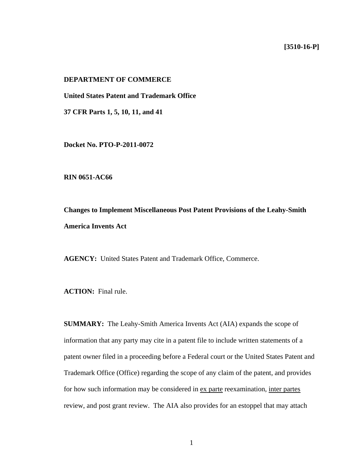## **[3510-16-P]**

# **DEPARTMENT OF COMMERCE**

**United States Patent and Trademark Office** 

**37 CFR Parts 1, 5, 10, 11, and 41** 

**Docket No. PTO-P-2011-0072** 

**RIN 0651-AC66** 

**Changes to Implement Miscellaneous Post Patent Provisions of the Leahy-Smith America Invents Act** 

**AGENCY:** United States Patent and Trademark Office, Commerce.

**ACTION:** Final rule.

**SUMMARY:** The Leahy-Smith America Invents Act (AIA) expands the scope of information that any party may cite in a patent file to include written statements of a patent owner filed in a proceeding before a Federal court or the United States Patent and Trademark Office (Office) regarding the scope of any claim of the patent, and provides for how such information may be considered in ex parte reexamination, inter partes review, and post grant review. The AIA also provides for an estoppel that may attach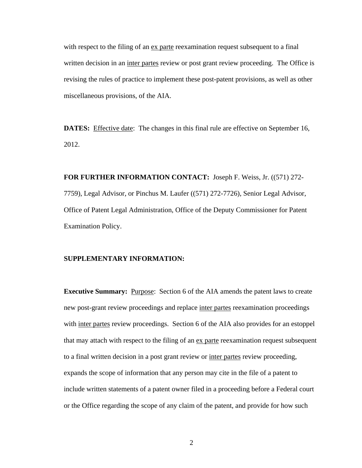with respect to the filing of an ex parte reexamination request subsequent to a final written decision in an inter partes review or post grant review proceeding. The Office is revising the rules of practice to implement these post-patent provisions, as well as other miscellaneous provisions, of the AIA.

**DATES:** Effective date: The changes in this final rule are effective on September 16, 2012.

**FOR FURTHER INFORMATION CONTACT:** Joseph F. Weiss, Jr. ((571) 272- 7759), Legal Advisor, or Pinchus M. Laufer ((571) 272-7726), Senior Legal Advisor, Office of Patent Legal Administration, Office of the Deputy Commissioner for Patent Examination Policy.

#### **SUPPLEMENTARY INFORMATION:**

**Executive Summary:** Purpose: Section 6 of the AIA amends the patent laws to create new post-grant review proceedings and replace inter partes reexamination proceedings with inter partes review proceedings. Section 6 of the AIA also provides for an estoppel that may attach with respect to the filing of an ex parte reexamination request subsequent to a final written decision in a post grant review or inter partes review proceeding, expands the scope of information that any person may cite in the file of a patent to include written statements of a patent owner filed in a proceeding before a Federal court or the Office regarding the scope of any claim of the patent, and provide for how such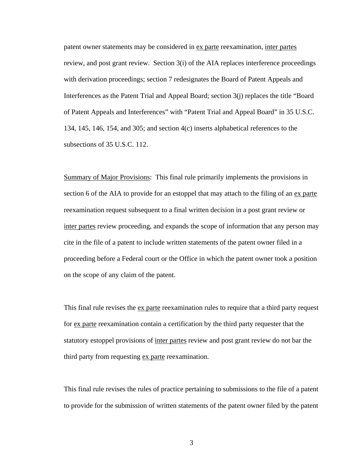patent owner statements may be considered in ex parte reexamination, inter partes review, and post grant review. Section 3(i) of the AIA replaces interference proceedings with derivation proceedings; section 7 redesignates the Board of Patent Appeals and Interferences as the Patent Trial and Appeal Board; section 3(j) replaces the title "Board of Patent Appeals and Interferences" with "Patent Trial and Appeal Board" in 35 U.S.C. 134, 145, 146, 154, and 305; and section 4(c) inserts alphabetical references to the subsections of 35 U.S.C. 112.

Summary of Major Provisions: This final rule primarily implements the provisions in section 6 of the AIA to provide for an estoppel that may attach to the filing of an ex parte reexamination request subsequent to a final written decision in a post grant review or inter partes review proceeding, and expands the scope of information that any person may cite in the file of a patent to include written statements of the patent owner filed in a proceeding before a Federal court or the Office in which the patent owner took a position on the scope of any claim of the patent.

This final rule revises the ex parte reexamination rules to require that a third party request for ex parte reexamination contain a certification by the third party requester that the statutory estoppel provisions of inter partes review and post grant review do not bar the third party from requesting ex parte reexamination.

This final rule revises the rules of practice pertaining to submissions to the file of a patent to provide for the submission of written statements of the patent owner filed by the patent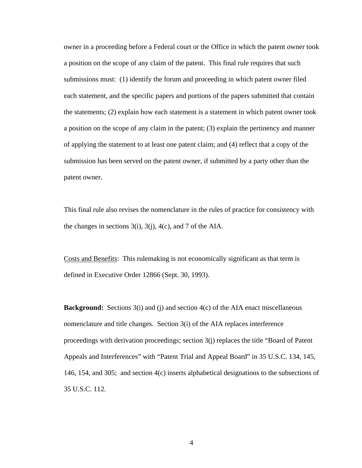owner in a proceeding before a Federal court or the Office in which the patent owner took a position on the scope of any claim of the patent. This final rule requires that such submissions must: (1) identify the forum and proceeding in which patent owner filed each statement, and the specific papers and portions of the papers submitted that contain the statements; (2) explain how each statement is a statement in which patent owner took a position on the scope of any claim in the patent; (3) explain the pertinency and manner of applying the statement to at least one patent claim; and (4) reflect that a copy of the submission has been served on the patent owner, if submitted by a party other than the patent owner.

This final rule also revises the nomenclature in the rules of practice for consistency with the changes in sections  $3(i)$ ,  $3(j)$ ,  $4(c)$ , and 7 of the AIA.

Costs and Benefits: This rulemaking is not economically significant as that term is defined in Executive Order 12866 (Sept. 30, 1993).

**Background:** Sections 3(i) and (j) and section 4(c) of the AIA enact miscellaneous nomenclature and title changes. Section 3(i) of the AIA replaces interference proceedings with derivation proceedings; section 3(j) replaces the title "Board of Patent Appeals and Interferences" with "Patent Trial and Appeal Board" in 35 U.S.C. 134, 145, 146, 154, and 305; and section 4(c) inserts alphabetical designations to the subsections of 35 U.S.C. 112.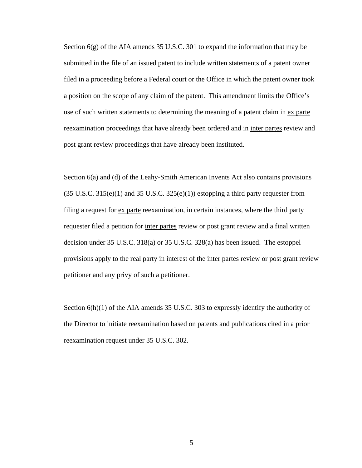Section 6(g) of the AIA amends 35 U.S.C. 301 to expand the information that may be submitted in the file of an issued patent to include written statements of a patent owner filed in a proceeding before a Federal court or the Office in which the patent owner took a position on the scope of any claim of the patent. This amendment limits the Office's use of such written statements to determining the meaning of a patent claim in ex parte reexamination proceedings that have already been ordered and in inter partes review and post grant review proceedings that have already been instituted.

Section 6(a) and (d) of the Leahy-Smith American Invents Act also contains provisions  $(35 \text{ U.S.C. } 315(e)(1)$  and  $35 \text{ U.S.C. } 325(e)(1))$  estopping a third party requester from filing a request for ex parte reexamination, in certain instances, where the third party requester filed a petition for inter partes review or post grant review and a final written decision under 35 U.S.C. 318(a) or 35 U.S.C. 328(a) has been issued. The estoppel provisions apply to the real party in interest of the inter partes review or post grant review petitioner and any privy of such a petitioner.

Section 6(h)(1) of the AIA amends 35 U.S.C. 303 to expressly identify the authority of the Director to initiate reexamination based on patents and publications cited in a prior reexamination request under 35 U.S.C. 302.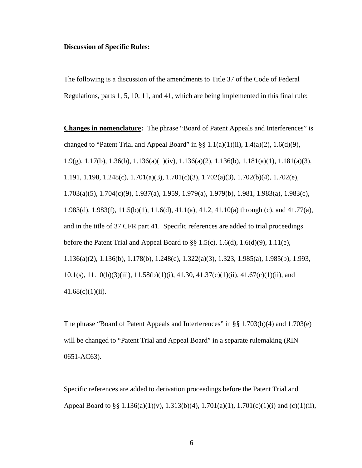### **Discussion of Specific Rules:**

The following is a discussion of the amendments to Title 37 of the Code of Federal Regulations, parts 1, 5, 10, 11, and 41, which are being implemented in this final rule:

**Changes in nomenclature:** The phrase "Board of Patent Appeals and Interferences" is changed to "Patent Trial and Appeal Board" in §§  $1.1(a)(1)(ii)$ ,  $1.4(a)(2)$ ,  $1.6(d)(9)$ , 1.9(g), 1.17(b), 1.36(b), 1.136(a)(1)(iv), 1.136(a)(2), 1.136(b), 1.181(a)(1), 1.181(a)(3), 1.191, 1.198, 1.248(c), 1.701(a)(3), 1.701(c)(3), 1.702(a)(3), 1.702(b)(4), 1.702(e), 1.703(a)(5), 1.704(c)(9), 1.937(a), 1.959, 1.979(a), 1.979(b), 1.981, 1.983(a), 1.983(c), 1.983(d), 1.983(f), 11.5(b)(1), 11.6(d), 41.1(a), 41.2, 41.10(a) through (c), and 41.77(a), and in the title of 37 CFR part 41. Specific references are added to trial proceedings before the Patent Trial and Appeal Board to  $\S\S 1.5(c)$ , 1.6(d), 1.6(d)(9), 1.11(e), 1.136(a)(2), 1.136(b), 1.178(b), 1.248(c), 1.322(a)(3), 1.323, 1.985(a), 1.985(b), 1.993, 10.1(s), 11.10(b)(3)(iii), 11.58(b)(1)(i), 41.30, 41.37(c)(1)(ii), 41.67(c)(1)(ii), and  $41.68(c)(1)(ii)$ .

The phrase "Board of Patent Appeals and Interferences" in §§ 1.703(b)(4) and 1.703(e) will be changed to "Patent Trial and Appeal Board" in a separate rulemaking (RIN 0651-AC63).

Specific references are added to derivation proceedings before the Patent Trial and Appeal Board to §§ 1.136(a)(1)(v), 1.313(b)(4), 1.701(a)(1), 1.701(c)(1)(i) and (c)(1)(ii),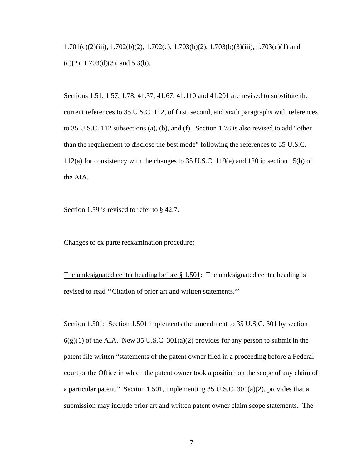1.701(c)(2)(iii), 1.702(b)(2), 1.702(c), 1.703(b)(2), 1.703(b)(3)(iii), 1.703(c)(1) and  $(c)(2)$ , 1.703 $(d)(3)$ , and 5.3 $(b)$ .

Sections 1.51, 1.57, 1.78, 41.37, 41.67, 41.110 and 41.201 are revised to substitute the current references to 35 U.S.C. 112, of first, second, and sixth paragraphs with references to 35 U.S.C. 112 subsections (a), (b), and (f). Section 1.78 is also revised to add "other than the requirement to disclose the best mode" following the references to 35 U.S.C. 112(a) for consistency with the changes to 35 U.S.C. 119(e) and 120 in section 15(b) of the AIA.

Section 1.59 is revised to refer to § 42.7.

Changes to ex parte reexamination procedure:

The undesignated center heading before § 1.501: The undesignated center heading is revised to read ''Citation of prior art and written statements.''

Section 1.501: Section 1.501 implements the amendment to 35 U.S.C. 301 by section  $6(g)(1)$  of the AIA. New 35 U.S.C. 301(a)(2) provides for any person to submit in the patent file written "statements of the patent owner filed in a proceeding before a Federal court or the Office in which the patent owner took a position on the scope of any claim of a particular patent." Section 1.501, implementing 35 U.S.C.  $301(a)(2)$ , provides that a submission may include prior art and written patent owner claim scope statements. The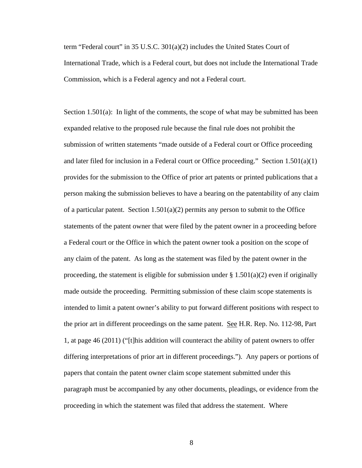term "Federal court" in 35 U.S.C. 301(a)(2) includes the United States Court of International Trade, which is a Federal court, but does not include the International Trade Commission, which is a Federal agency and not a Federal court.

Section 1.501(a): In light of the comments, the scope of what may be submitted has been expanded relative to the proposed rule because the final rule does not prohibit the submission of written statements "made outside of a Federal court or Office proceeding and later filed for inclusion in a Federal court or Office proceeding." Section  $1.501(a)(1)$ provides for the submission to the Office of prior art patents or printed publications that a person making the submission believes to have a bearing on the patentability of any claim of a particular patent. Section 1.501(a)(2) permits any person to submit to the Office statements of the patent owner that were filed by the patent owner in a proceeding before a Federal court or the Office in which the patent owner took a position on the scope of any claim of the patent. As long as the statement was filed by the patent owner in the proceeding, the statement is eligible for submission under  $\S 1.501(a)(2)$  even if originally made outside the proceeding. Permitting submission of these claim scope statements is intended to limit a patent owner's ability to put forward different positions with respect to the prior art in different proceedings on the same patent. See H.R. Rep. No. 112-98, Part 1, at page 46 (2011) ("[t]his addition will counteract the ability of patent owners to offer differing interpretations of prior art in different proceedings."). Any papers or portions of papers that contain the patent owner claim scope statement submitted under this paragraph must be accompanied by any other documents, pleadings, or evidence from the proceeding in which the statement was filed that address the statement. Where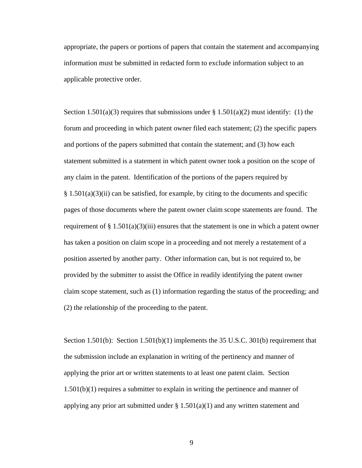appropriate, the papers or portions of papers that contain the statement and accompanying information must be submitted in redacted form to exclude information subject to an applicable protective order.

Section 1.501(a)(3) requires that submissions under § 1.501(a)(2) must identify: (1) the forum and proceeding in which patent owner filed each statement; (2) the specific papers and portions of the papers submitted that contain the statement; and (3) how each statement submitted is a statement in which patent owner took a position on the scope of any claim in the patent. Identification of the portions of the papers required by  $§ 1.501(a)(3)(ii)$  can be satisfied, for example, by citing to the documents and specific pages of those documents where the patent owner claim scope statements are found. The requirement of  $\S 1.501(a)(3)(iii)$  ensures that the statement is one in which a patent owner has taken a position on claim scope in a proceeding and not merely a restatement of a position asserted by another party. Other information can, but is not required to, be provided by the submitter to assist the Office in readily identifying the patent owner claim scope statement, such as (1) information regarding the status of the proceeding; and (2) the relationship of the proceeding to the patent.

Section 1.501(b): Section 1.501(b)(1) implements the 35 U.S.C. 301(b) requirement that the submission include an explanation in writing of the pertinency and manner of applying the prior art or written statements to at least one patent claim. Section 1.501(b)(1) requires a submitter to explain in writing the pertinence and manner of applying any prior art submitted under  $\S 1.501(a)(1)$  and any written statement and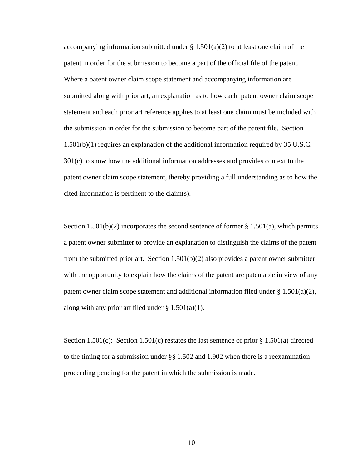accompanying information submitted under  $\S 1.501(a)(2)$  to at least one claim of the patent in order for the submission to become a part of the official file of the patent. Where a patent owner claim scope statement and accompanying information are submitted along with prior art, an explanation as to how each patent owner claim scope statement and each prior art reference applies to at least one claim must be included with the submission in order for the submission to become part of the patent file. Section 1.501(b)(1) requires an explanation of the additional information required by 35 U.S.C. 301(c) to show how the additional information addresses and provides context to the patent owner claim scope statement, thereby providing a full understanding as to how the cited information is pertinent to the claim(s).

Section 1.501(b)(2) incorporates the second sentence of former  $\S 1.501(a)$ , which permits a patent owner submitter to provide an explanation to distinguish the claims of the patent from the submitted prior art. Section 1.501(b)(2) also provides a patent owner submitter with the opportunity to explain how the claims of the patent are patentable in view of any patent owner claim scope statement and additional information filed under  $\S 1.501(a)(2)$ , along with any prior art filed under  $\S 1.501(a)(1)$ .

Section 1.501(c): Section 1.501(c) restates the last sentence of prior  $\S 1.501(a)$  directed to the timing for a submission under  $\S$ § 1.502 and 1.902 when there is a reexamination proceeding pending for the patent in which the submission is made.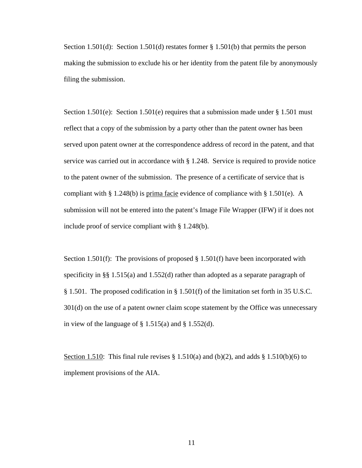Section 1.501(d): Section 1.501(d) restates former § 1.501(b) that permits the person making the submission to exclude his or her identity from the patent file by anonymously filing the submission.

Section 1.501(e): Section 1.501(e) requires that a submission made under  $\S 1.501$  must reflect that a copy of the submission by a party other than the patent owner has been served upon patent owner at the correspondence address of record in the patent, and that service was carried out in accordance with § 1.248. Service is required to provide notice to the patent owner of the submission. The presence of a certificate of service that is compliant with § 1.248(b) is prima facie evidence of compliance with § 1.501(e). A submission will not be entered into the patent's Image File Wrapper (IFW) if it does not include proof of service compliant with § 1.248(b).

Section 1.501(f): The provisions of proposed  $\S 1.501(f)$  have been incorporated with specificity in §§ 1.515(a) and 1.552(d) rather than adopted as a separate paragraph of § 1.501. The proposed codification in § 1.501(f) of the limitation set forth in 35 U.S.C. 301(d) on the use of a patent owner claim scope statement by the Office was unnecessary in view of the language of  $\S$  1.515(a) and  $\S$  1.552(d).

Section 1.510: This final rule revises  $\S 1.510(a)$  and (b)(2), and adds  $\S 1.510(b)(6)$  to implement provisions of the AIA.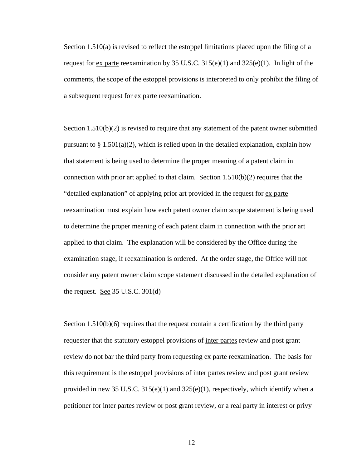Section 1.510(a) is revised to reflect the estoppel limitations placed upon the filing of a request for ex parte reexamination by 35 U.S.C.  $315(e)(1)$  and  $325(e)(1)$ . In light of the comments, the scope of the estoppel provisions is interpreted to only prohibit the filing of a subsequent request for ex parte reexamination.

Section 1.510(b)(2) is revised to require that any statement of the patent owner submitted pursuant to  $\S 1.501(a)(2)$ , which is relied upon in the detailed explanation, explain how that statement is being used to determine the proper meaning of a patent claim in connection with prior art applied to that claim. Section  $1.510(b)(2)$  requires that the "detailed explanation" of applying prior art provided in the request for ex parte reexamination must explain how each patent owner claim scope statement is being used to determine the proper meaning of each patent claim in connection with the prior art applied to that claim. The explanation will be considered by the Office during the examination stage, if reexamination is ordered. At the order stage, the Office will not consider any patent owner claim scope statement discussed in the detailed explanation of the request. <u>See</u> 35 U.S.C.  $301(d)$ 

Section 1.510(b)(6) requires that the request contain a certification by the third party requester that the statutory estoppel provisions of inter partes review and post grant review do not bar the third party from requesting ex parte reexamination. The basis for this requirement is the estoppel provisions of inter partes review and post grant review provided in new 35 U.S.C.  $315(e)(1)$  and  $325(e)(1)$ , respectively, which identify when a petitioner for inter partes review or post grant review, or a real party in interest or privy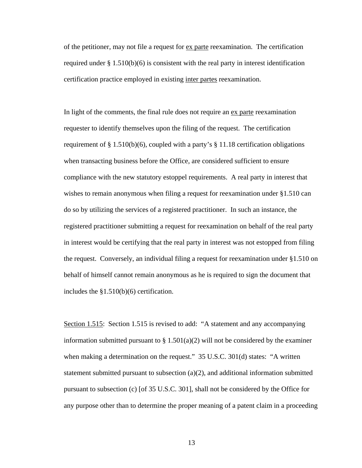of the petitioner, may not file a request for  $\alpha$  parte reexamination. The certification required under  $\S 1.510(b)(6)$  is consistent with the real party in interest identification certification practice employed in existing inter partes reexamination.

In light of the comments, the final rule does not require an <u>ex parte</u> reexamination requester to identify themselves upon the filing of the request. The certification requirement of § 1.510(b)(6), coupled with a party's § 11.18 certification obligations when transacting business before the Office, are considered sufficient to ensure compliance with the new statutory estoppel requirements. A real party in interest that wishes to remain anonymous when filing a request for reexamination under §1.510 can do so by utilizing the services of a registered practitioner. In such an instance, the registered practitioner submitting a request for reexamination on behalf of the real party in interest would be certifying that the real party in interest was not estopped from filing the request. Conversely, an individual filing a request for reexamination under §1.510 on behalf of himself cannot remain anonymous as he is required to sign the document that includes the §1.510(b)(6) certification.

Section 1.515: Section 1.515 is revised to add: "A statement and any accompanying information submitted pursuant to  $\S 1.501(a)(2)$  will not be considered by the examiner when making a determination on the request." 35 U.S.C. 301(d) states: "A written statement submitted pursuant to subsection  $(a)(2)$ , and additional information submitted pursuant to subsection (c) [of 35 U.S.C. 301], shall not be considered by the Office for any purpose other than to determine the proper meaning of a patent claim in a proceeding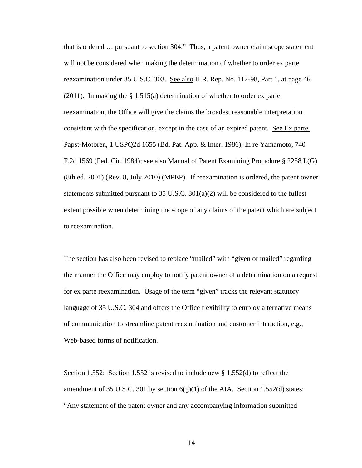that is ordered … pursuant to section 304." Thus, a patent owner claim scope statement will not be considered when making the determination of whether to order ex parte reexamination under 35 U.S.C. 303. See also H.R. Rep. No. 112-98, Part 1, at page 46 (2011). In making the § 1.515(a) determination of whether to order ex parte reexamination, the Office will give the claims the broadest reasonable interpretation consistent with the specification, except in the case of an expired patent. See Ex parte Papst-Motoren, 1 USPQ2d 1655 (Bd. Pat. App. & Inter. 1986); In re Yamamoto, 740 F.2d 1569 (Fed. Cir. 1984); see also Manual of Patent Examining Procedure § 2258 I.(G) (8th ed. 2001) (Rev. 8, July 2010) (MPEP). If reexamination is ordered, the patent owner statements submitted pursuant to 35 U.S.C. 301(a)(2) will be considered to the fullest extent possible when determining the scope of any claims of the patent which are subject to reexamination.

The section has also been revised to replace "mailed" with "given or mailed" regarding the manner the Office may employ to notify patent owner of a determination on a request for ex parte reexamination. Usage of the term "given" tracks the relevant statutory language of 35 U.S.C. 304 and offers the Office flexibility to employ alternative means of communication to streamline patent reexamination and customer interaction, e.g., Web-based forms of notification.

Section 1.552: Section 1.552 is revised to include new § 1.552(d) to reflect the amendment of 35 U.S.C. 301 by section  $6(g)(1)$  of the AIA. Section 1.552(d) states: "Any statement of the patent owner and any accompanying information submitted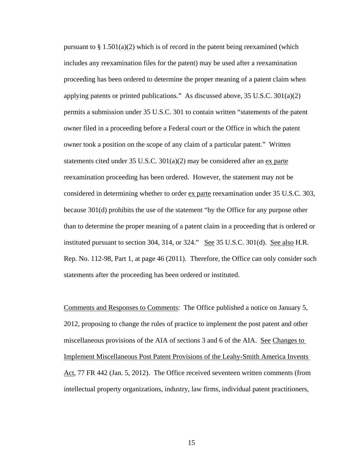pursuant to  $\S 1.501(a)(2)$  which is of record in the patent being reexamined (which includes any reexamination files for the patent) may be used after a reexamination proceeding has been ordered to determine the proper meaning of a patent claim when applying patents or printed publications." As discussed above, 35 U.S.C. 301(a)(2) permits a submission under 35 U.S.C. 301 to contain written "statements of the patent owner filed in a proceeding before a Federal court or the Office in which the patent owner took a position on the scope of any claim of a particular patent." Written statements cited under 35 U.S.C. 301(a)(2) may be considered after an ex parte reexamination proceeding has been ordered. However, the statement may not be considered in determining whether to order ex parte reexamination under 35 U.S.C. 303, because 301(d) prohibits the use of the statement "by the Office for any purpose other than to determine the proper meaning of a patent claim in a proceeding that is ordered or instituted pursuant to section 304, 314, or 324." See  $35 \text{ U.S.C. } 301(d)$ . See also H.R. Rep. No. 112-98, Part 1, at page 46 (2011). Therefore, the Office can only consider such statements after the proceeding has been ordered or instituted.

Comments and Responses to Comments: The Office published a notice on January 5, 2012, proposing to change the rules of practice to implement the post patent and other miscellaneous provisions of the AIA of sections 3 and 6 of the AIA. See Changes to Implement Miscellaneous Post Patent Provisions of the Leahy-Smith America Invents Act, 77 FR 442 (Jan. 5, 2012). The Office received seventeen written comments (from intellectual property organizations, industry, law firms, individual patent practitioners,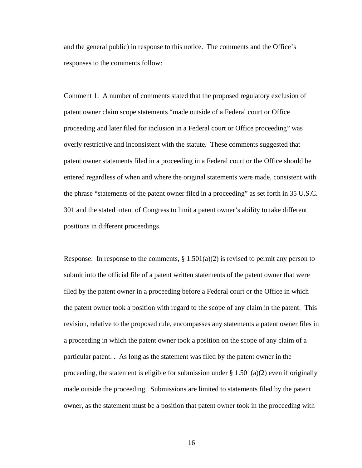and the general public) in response to this notice. The comments and the Office's responses to the comments follow:

Comment 1: A number of comments stated that the proposed regulatory exclusion of patent owner claim scope statements "made outside of a Federal court or Office proceeding and later filed for inclusion in a Federal court or Office proceeding" was overly restrictive and inconsistent with the statute. These comments suggested that patent owner statements filed in a proceeding in a Federal court or the Office should be entered regardless of when and where the original statements were made, consistent with the phrase "statements of the patent owner filed in a proceeding" as set forth in 35 U.S.C. 301 and the stated intent of Congress to limit a patent owner's ability to take different positions in different proceedings.

Response: In response to the comments,  $\S 1.501(a)(2)$  is revised to permit any person to submit into the official file of a patent written statements of the patent owner that were filed by the patent owner in a proceeding before a Federal court or the Office in which the patent owner took a position with regard to the scope of any claim in the patent. This revision, relative to the proposed rule, encompasses any statements a patent owner files in a proceeding in which the patent owner took a position on the scope of any claim of a particular patent. . As long as the statement was filed by the patent owner in the proceeding, the statement is eligible for submission under  $\S 1.501(a)(2)$  even if originally made outside the proceeding. Submissions are limited to statements filed by the patent owner, as the statement must be a position that patent owner took in the proceeding with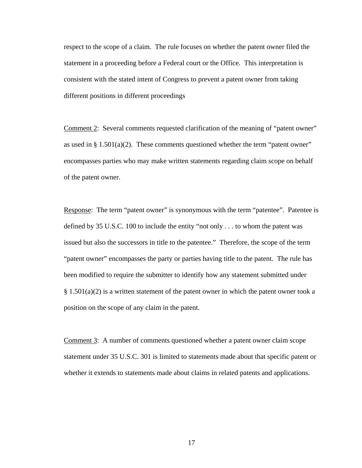respect to the scope of a claim. The rule focuses on whether the patent owner filed the statement in a proceeding before a Federal court or the Office. This interpretation is consistent with the stated intent of Congress to prevent a patent owner from taking different positions in different proceedings

Comment 2: Several comments requested clarification of the meaning of "patent owner" as used in  $\S 1.501(a)(2)$ . These comments questioned whether the term "patent owner" encompasses parties who may make written statements regarding claim scope on behalf of the patent owner.

Response: The term "patent owner" is synonymous with the term "patentee". Patentee is defined by 35 U.S.C. 100 to include the entity "not only . . . to whom the patent was issued but also the successors in title to the patentee." Therefore, the scope of the term "patent owner" encompasses the party or parties having title to the patent. The rule has been modified to require the submitter to identify how any statement submitted under  $\S 1.501(a)(2)$  is a written statement of the patent owner in which the patent owner took a position on the scope of any claim in the patent.

Comment 3: A number of comments questioned whether a patent owner claim scope statement under 35 U.S.C. 301 is limited to statements made about that specific patent or whether it extends to statements made about claims in related patents and applications.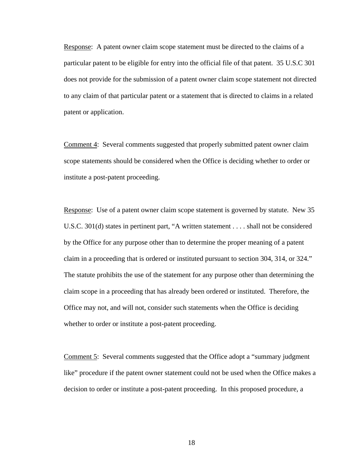Response: A patent owner claim scope statement must be directed to the claims of a particular patent to be eligible for entry into the official file of that patent. 35 U.S.C 301 does not provide for the submission of a patent owner claim scope statement not directed to any claim of that particular patent or a statement that is directed to claims in a related patent or application.

Comment 4: Several comments suggested that properly submitted patent owner claim scope statements should be considered when the Office is deciding whether to order or institute a post-patent proceeding.

Response: Use of a patent owner claim scope statement is governed by statute. New 35 U.S.C. 301(d) states in pertinent part, "A written statement . . . . shall not be considered by the Office for any purpose other than to determine the proper meaning of a patent claim in a proceeding that is ordered or instituted pursuant to section 304, 314, or 324." The statute prohibits the use of the statement for any purpose other than determining the claim scope in a proceeding that has already been ordered or instituted. Therefore, the Office may not, and will not, consider such statements when the Office is deciding whether to order or institute a post-patent proceeding.

Comment 5: Several comments suggested that the Office adopt a "summary judgment like" procedure if the patent owner statement could not be used when the Office makes a decision to order or institute a post-patent proceeding. In this proposed procedure, a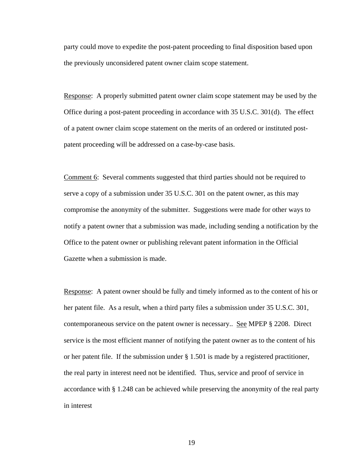party could move to expedite the post-patent proceeding to final disposition based upon the previously unconsidered patent owner claim scope statement.

Response: A properly submitted patent owner claim scope statement may be used by the Office during a post-patent proceeding in accordance with 35 U.S.C. 301(d). The effect of a patent owner claim scope statement on the merits of an ordered or instituted postpatent proceeding will be addressed on a case-by-case basis.

Comment 6: Several comments suggested that third parties should not be required to serve a copy of a submission under 35 U.S.C. 301 on the patent owner, as this may compromise the anonymity of the submitter. Suggestions were made for other ways to notify a patent owner that a submission was made, including sending a notification by the Office to the patent owner or publishing relevant patent information in the Official Gazette when a submission is made.

Response: A patent owner should be fully and timely informed as to the content of his or her patent file. As a result, when a third party files a submission under 35 U.S.C. 301, contemporaneous service on the patent owner is necessary.. See MPEP § 2208. Direct service is the most efficient manner of notifying the patent owner as to the content of his or her patent file. If the submission under § 1.501 is made by a registered practitioner, the real party in interest need not be identified. Thus, service and proof of service in accordance with § 1.248 can be achieved while preserving the anonymity of the real party in interest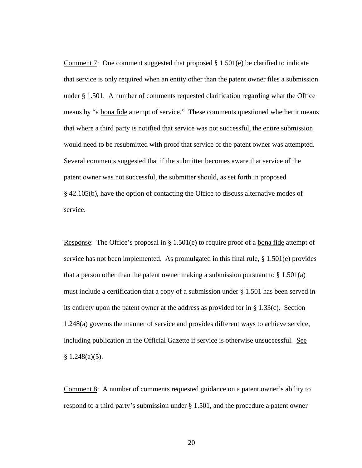Comment 7: One comment suggested that proposed  $\S 1.501(e)$  be clarified to indicate that service is only required when an entity other than the patent owner files a submission under § 1.501. A number of comments requested clarification regarding what the Office means by "a bona fide attempt of service." These comments questioned whether it means that where a third party is notified that service was not successful, the entire submission would need to be resubmitted with proof that service of the patent owner was attempted. Several comments suggested that if the submitter becomes aware that service of the patent owner was not successful, the submitter should, as set forth in proposed § 42.105(b), have the option of contacting the Office to discuss alternative modes of service.

Response: The Office's proposal in § 1.501(e) to require proof of a bona fide attempt of service has not been implemented. As promulgated in this final rule,  $\S$  1.501(e) provides that a person other than the patent owner making a submission pursuant to  $\S 1.501(a)$ must include a certification that a copy of a submission under § 1.501 has been served in its entirety upon the patent owner at the address as provided for in  $\S 1.33(c)$ . Section 1.248(a) governs the manner of service and provides different ways to achieve service, including publication in the Official Gazette if service is otherwise unsuccessful. See  $§ 1.248(a)(5).$ 

Comment 8: A number of comments requested guidance on a patent owner's ability to respond to a third party's submission under § 1.501, and the procedure a patent owner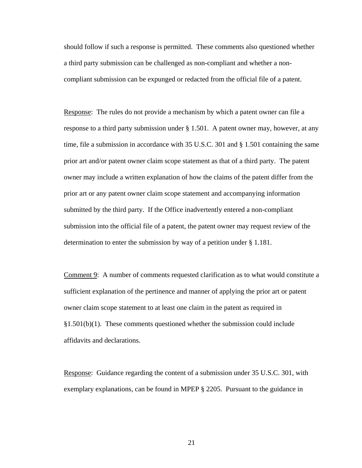should follow if such a response is permitted. These comments also questioned whether a third party submission can be challenged as non-compliant and whether a noncompliant submission can be expunged or redacted from the official file of a patent.

Response: The rules do not provide a mechanism by which a patent owner can file a response to a third party submission under § 1.501. A patent owner may, however, at any time, file a submission in accordance with 35 U.S.C. 301 and § 1.501 containing the same prior art and/or patent owner claim scope statement as that of a third party. The patent owner may include a written explanation of how the claims of the patent differ from the prior art or any patent owner claim scope statement and accompanying information submitted by the third party. If the Office inadvertently entered a non-compliant submission into the official file of a patent, the patent owner may request review of the determination to enter the submission by way of a petition under § 1.181.

Comment 9: A number of comments requested clarification as to what would constitute a sufficient explanation of the pertinence and manner of applying the prior art or patent owner claim scope statement to at least one claim in the patent as required in §1.501(b)(1). These comments questioned whether the submission could include affidavits and declarations.

Response: Guidance regarding the content of a submission under 35 U.S.C. 301, with exemplary explanations, can be found in MPEP § 2205. Pursuant to the guidance in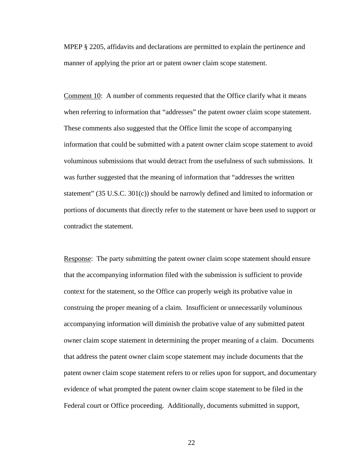MPEP § 2205, affidavits and declarations are permitted to explain the pertinence and manner of applying the prior art or patent owner claim scope statement.

Comment 10: A number of comments requested that the Office clarify what it means when referring to information that "addresses" the patent owner claim scope statement. These comments also suggested that the Office limit the scope of accompanying information that could be submitted with a patent owner claim scope statement to avoid voluminous submissions that would detract from the usefulness of such submissions. It was further suggested that the meaning of information that "addresses the written statement" (35 U.S.C. 301(c)) should be narrowly defined and limited to information or portions of documents that directly refer to the statement or have been used to support or contradict the statement.

Response: The party submitting the patent owner claim scope statement should ensure that the accompanying information filed with the submission is sufficient to provide context for the statement, so the Office can properly weigh its probative value in construing the proper meaning of a claim. Insufficient or unnecessarily voluminous accompanying information will diminish the probative value of any submitted patent owner claim scope statement in determining the proper meaning of a claim. Documents that address the patent owner claim scope statement may include documents that the patent owner claim scope statement refers to or relies upon for support, and documentary evidence of what prompted the patent owner claim scope statement to be filed in the Federal court or Office proceeding. Additionally, documents submitted in support,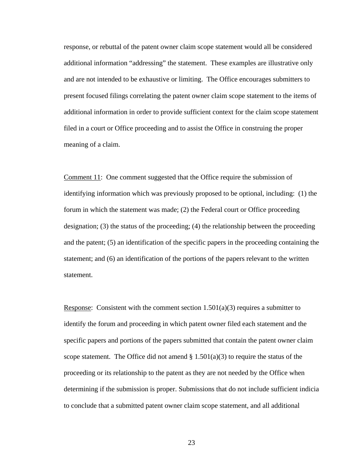response, or rebuttal of the patent owner claim scope statement would all be considered additional information "addressing" the statement. These examples are illustrative only and are not intended to be exhaustive or limiting. The Office encourages submitters to present focused filings correlating the patent owner claim scope statement to the items of additional information in order to provide sufficient context for the claim scope statement filed in a court or Office proceeding and to assist the Office in construing the proper meaning of a claim.

Comment 11: One comment suggested that the Office require the submission of identifying information which was previously proposed to be optional, including: (1) the forum in which the statement was made; (2) the Federal court or Office proceeding designation; (3) the status of the proceeding; (4) the relationship between the proceeding and the patent; (5) an identification of the specific papers in the proceeding containing the statement; and (6) an identification of the portions of the papers relevant to the written statement.

Response: Consistent with the comment section  $1.501(a)(3)$  requires a submitter to identify the forum and proceeding in which patent owner filed each statement and the specific papers and portions of the papers submitted that contain the patent owner claim scope statement. The Office did not amend  $\S 1.501(a)(3)$  to require the status of the proceeding or its relationship to the patent as they are not needed by the Office when determining if the submission is proper. Submissions that do not include sufficient indicia to conclude that a submitted patent owner claim scope statement, and all additional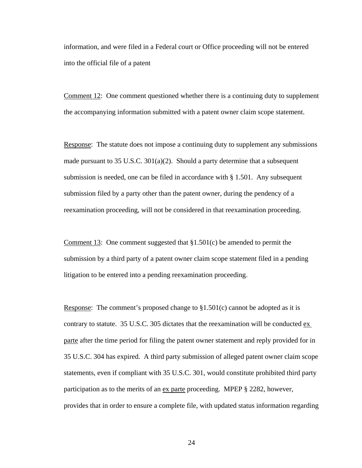information, and were filed in a Federal court or Office proceeding will not be entered into the official file of a patent

Comment 12: One comment questioned whether there is a continuing duty to supplement the accompanying information submitted with a patent owner claim scope statement.

Response: The statute does not impose a continuing duty to supplement any submissions made pursuant to 35 U.S.C.  $301(a)(2)$ . Should a party determine that a subsequent submission is needed, one can be filed in accordance with § 1.501. Any subsequent submission filed by a party other than the patent owner, during the pendency of a reexamination proceeding, will not be considered in that reexamination proceeding.

Comment 13: One comment suggested that  $\S1.501(c)$  be amended to permit the submission by a third party of a patent owner claim scope statement filed in a pending litigation to be entered into a pending reexamination proceeding.

Response: The comment's proposed change to  $\S1.501(c)$  cannot be adopted as it is contrary to statute. 35 U.S.C. 305 dictates that the reexamination will be conducted ex parte after the time period for filing the patent owner statement and reply provided for in 35 U.S.C. 304 has expired. A third party submission of alleged patent owner claim scope statements, even if compliant with 35 U.S.C. 301, would constitute prohibited third party participation as to the merits of an ex parte proceeding. MPEP § 2282, however, provides that in order to ensure a complete file, with updated status information regarding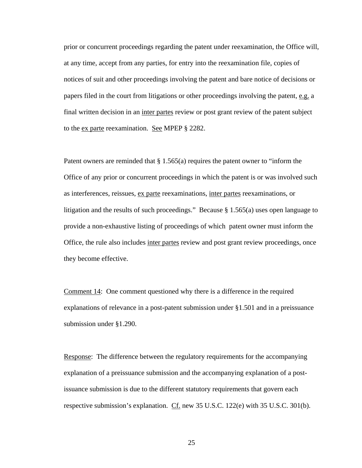prior or concurrent proceedings regarding the patent under reexamination, the Office will, at any time, accept from any parties, for entry into the reexamination file, copies of notices of suit and other proceedings involving the patent and bare notice of decisions or papers filed in the court from litigations or other proceedings involving the patent, e.g. a final written decision in an inter partes review or post grant review of the patent subject to the ex parte reexamination. See MPEP § 2282.

Patent owners are reminded that § 1.565(a) requires the patent owner to "inform the Office of any prior or concurrent proceedings in which the patent is or was involved such as interferences, reissues, ex parte reexaminations, inter partes reexaminations, or litigation and the results of such proceedings." Because § 1.565(a) uses open language to provide a non-exhaustive listing of proceedings of which patent owner must inform the Office, the rule also includes inter partes review and post grant review proceedings, once they become effective.

Comment 14: One comment questioned why there is a difference in the required explanations of relevance in a post-patent submission under §1.501 and in a preissuance submission under §1.290.

Response: The difference between the regulatory requirements for the accompanying explanation of a preissuance submission and the accompanying explanation of a postissuance submission is due to the different statutory requirements that govern each respective submission's explanation. Cf. new 35 U.S.C. 122(e) with 35 U.S.C. 301(b).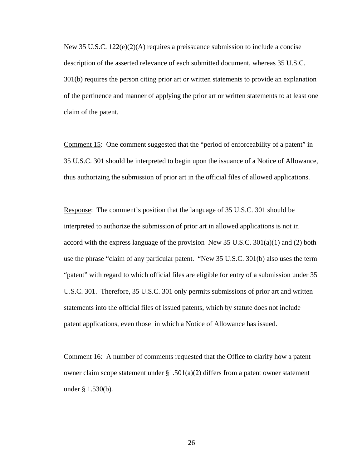New 35 U.S.C.  $122(e)(2)(A)$  requires a preissuance submission to include a concise description of the asserted relevance of each submitted document, whereas 35 U.S.C. 301(b) requires the person citing prior art or written statements to provide an explanation of the pertinence and manner of applying the prior art or written statements to at least one claim of the patent.

Comment 15: One comment suggested that the "period of enforceability of a patent" in 35 U.S.C. 301 should be interpreted to begin upon the issuance of a Notice of Allowance, thus authorizing the submission of prior art in the official files of allowed applications.

Response: The comment's position that the language of 35 U.S.C. 301 should be interpreted to authorize the submission of prior art in allowed applications is not in accord with the express language of the provision New 35 U.S.C.  $301(a)(1)$  and (2) both use the phrase "claim of any particular patent. "New 35 U.S.C. 301(b) also uses the term "patent" with regard to which official files are eligible for entry of a submission under 35 U.S.C. 301. Therefore, 35 U.S.C. 301 only permits submissions of prior art and written statements into the official files of issued patents, which by statute does not include patent applications, even those in which a Notice of Allowance has issued.

Comment 16: A number of comments requested that the Office to clarify how a patent owner claim scope statement under  $\S1.501(a)(2)$  differs from a patent owner statement under § 1.530(b).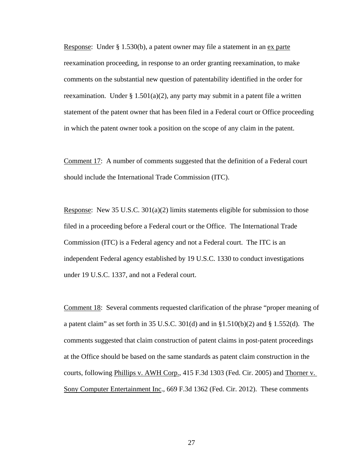Response: Under § 1.530(b), a patent owner may file a statement in an  $ex$  parte reexamination proceeding, in response to an order granting reexamination, to make comments on the substantial new question of patentability identified in the order for reexamination. Under  $\S 1.501(a)(2)$ , any party may submit in a patent file a written statement of the patent owner that has been filed in a Federal court or Office proceeding in which the patent owner took a position on the scope of any claim in the patent.

Comment 17: A number of comments suggested that the definition of a Federal court should include the International Trade Commission (ITC).

Response: New 35 U.S.C. 301(a)(2) limits statements eligible for submission to those filed in a proceeding before a Federal court or the Office. The International Trade Commission (ITC) is a Federal agency and not a Federal court. The ITC is an independent Federal agency established by 19 U.S.C. 1330 to conduct investigations under 19 U.S.C. 1337, and not a Federal court.

Comment 18: Several comments requested clarification of the phrase "proper meaning of a patent claim" as set forth in 35 U.S.C.  $301(d)$  and in §1.510(b)(2) and § 1.552(d). The comments suggested that claim construction of patent claims in post-patent proceedings at the Office should be based on the same standards as patent claim construction in the courts, following Phillips v. AWH Corp., 415 F.3d 1303 (Fed. Cir. 2005) and Thorner v. Sony Computer Entertainment Inc., 669 F.3d 1362 (Fed. Cir. 2012). These comments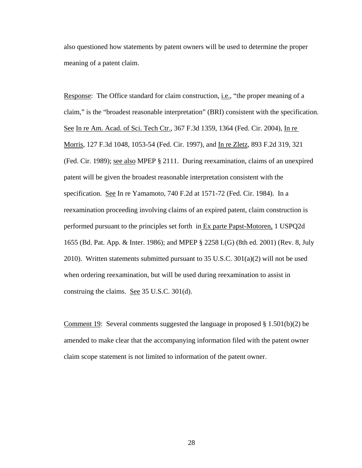also questioned how statements by patent owners will be used to determine the proper meaning of a patent claim.

Response: The Office standard for claim construction, i.e., "the proper meaning of a claim," is the "broadest reasonable interpretation" (BRI) consistent with the specification. See In re Am. Acad. of Sci. Tech Ctr., 367 F.3d 1359, 1364 (Fed. Cir. 2004), In re Morris, 127 F.3d 1048, 1053-54 (Fed. Cir. 1997), and In re Zletz, 893 F.2d 319, 321 (Fed. Cir. 1989); see also MPEP § 2111. During reexamination, claims of an unexpired patent will be given the broadest reasonable interpretation consistent with the specification. See In re Yamamoto, 740 F.2d at 1571-72 (Fed. Cir. 1984). In a reexamination proceeding involving claims of an expired patent, claim construction is performed pursuant to the principles set forth in Ex parte Papst-Motoren, 1 USPQ2d 1655 (Bd. Pat. App. & Inter. 1986); and MPEP § 2258 I.(G) (8th ed. 2001) (Rev. 8, July 2010). Written statements submitted pursuant to 35 U.S.C. 301(a)(2) will not be used when ordering reexamination, but will be used during reexamination to assist in construing the claims. See 35 U.S.C. 301(d).

Comment 19: Several comments suggested the language in proposed  $\S 1.501(b)(2)$  be amended to make clear that the accompanying information filed with the patent owner claim scope statement is not limited to information of the patent owner.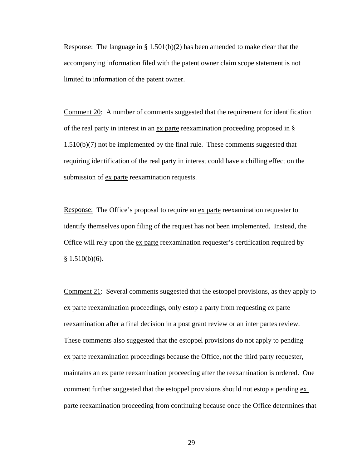Response: The language in § 1.501(b)(2) has been amended to make clear that the accompanying information filed with the patent owner claim scope statement is not limited to information of the patent owner.

Comment 20: A number of comments suggested that the requirement for identification of the real party in interest in an ex parte reexamination proceeding proposed in § 1.510(b)(7) not be implemented by the final rule. These comments suggested that requiring identification of the real party in interest could have a chilling effect on the submission of ex parte reexamination requests.

Response: The Office's proposal to require an ex parte reexamination requester to identify themselves upon filing of the request has not been implemented. Instead, the Office will rely upon the ex parte reexamination requester's certification required by  $§ 1.510(b)(6).$ 

Comment 21: Several comments suggested that the estoppel provisions, as they apply to ex parte reexamination proceedings, only estop a party from requesting ex parte reexamination after a final decision in a post grant review or an inter partes review. These comments also suggested that the estoppel provisions do not apply to pending ex parte reexamination proceedings because the Office, not the third party requester, maintains an ex parte reexamination proceeding after the reexamination is ordered. One comment further suggested that the estoppel provisions should not estop a pending ex parte reexamination proceeding from continuing because once the Office determines that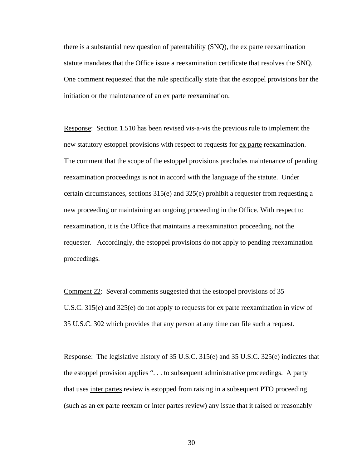there is a substantial new question of patentability  $(SNQ)$ , the  $ex$  parte reexamination statute mandates that the Office issue a reexamination certificate that resolves the SNQ. One comment requested that the rule specifically state that the estoppel provisions bar the initiation or the maintenance of an ex parte reexamination.

Response: Section 1.510 has been revised vis-a-vis the previous rule to implement the new statutory estoppel provisions with respect to requests for ex parte reexamination. The comment that the scope of the estoppel provisions precludes maintenance of pending reexamination proceedings is not in accord with the language of the statute. Under certain circumstances, sections 315(e) and 325(e) prohibit a requester from requesting a new proceeding or maintaining an ongoing proceeding in the Office. With respect to reexamination, it is the Office that maintains a reexamination proceeding, not the requester. Accordingly, the estoppel provisions do not apply to pending reexamination proceedings.

Comment 22: Several comments suggested that the estoppel provisions of 35 U.S.C. 315(e) and 325(e) do not apply to requests for ex parte reexamination in view of 35 U.S.C. 302 which provides that any person at any time can file such a request.

Response: The legislative history of 35 U.S.C. 315(e) and 35 U.S.C. 325(e) indicates that the estoppel provision applies ". . . to subsequent administrative proceedings. A party that uses inter partes review is estopped from raising in a subsequent PTO proceeding (such as an ex parte reexam or inter partes review) any issue that it raised or reasonably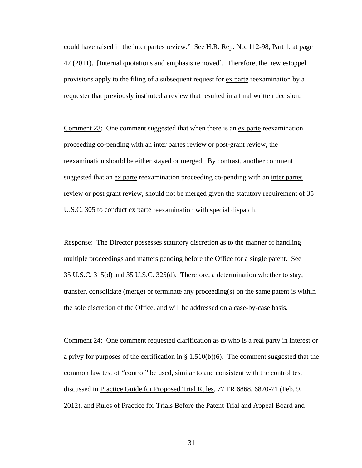could have raised in the <u>inter partes review." See H.R. Rep. No.</u> 112-98, Part 1, at page 47 (2011). [Internal quotations and emphasis removed]. Therefore, the new estoppel provisions apply to the filing of a subsequent request for ex parte reexamination by a requester that previously instituted a review that resulted in a final written decision.

Comment 23: One comment suggested that when there is an ex parte reexamination proceeding co-pending with an inter partes review or post-grant review, the reexamination should be either stayed or merged. By contrast, another comment suggested that an ex parte reexamination proceeding co-pending with an inter partes review or post grant review, should not be merged given the statutory requirement of 35 U.S.C. 305 to conduct ex parte reexamination with special dispatch.

Response: The Director possesses statutory discretion as to the manner of handling multiple proceedings and matters pending before the Office for a single patent. See 35 U.S.C. 315(d) and 35 U.S.C. 325(d). Therefore, a determination whether to stay, transfer, consolidate (merge) or terminate any proceeding(s) on the same patent is within the sole discretion of the Office, and will be addressed on a case-by-case basis.

Comment 24: One comment requested clarification as to who is a real party in interest or a privy for purposes of the certification in § 1.510(b)(6). The comment suggested that the common law test of "control" be used, similar to and consistent with the control test discussed in Practice Guide for Proposed Trial Rules, 77 FR 6868, 6870-71 (Feb. 9, 2012), and Rules of Practice for Trials Before the Patent Trial and Appeal Board and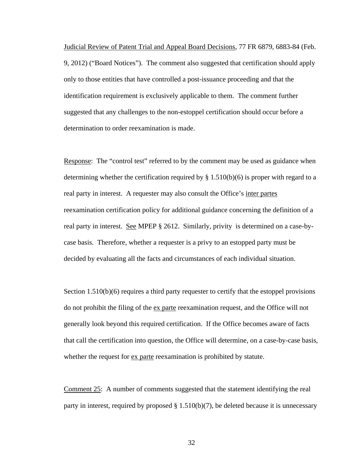Judicial Review of Patent Trial and Appeal Board Decisions, 77 FR 6879, 6883-84 (Feb. 9, 2012) ("Board Notices"). The comment also suggested that certification should apply only to those entities that have controlled a post-issuance proceeding and that the identification requirement is exclusively applicable to them. The comment further suggested that any challenges to the non-estoppel certification should occur before a determination to order reexamination is made.

Response: The "control test" referred to by the comment may be used as guidance when determining whether the certification required by  $\S 1.510(b)(6)$  is proper with regard to a real party in interest. A requester may also consult the Office's inter partes reexamination certification policy for additional guidance concerning the definition of a real party in interest. See MPEP § 2612. Similarly, privity is determined on a case-bycase basis. Therefore, whether a requester is a privy to an estopped party must be decided by evaluating all the facts and circumstances of each individual situation.

Section 1.510(b)(6) requires a third party requester to certify that the estoppel provisions do not prohibit the filing of the ex parte reexamination request, and the Office will not generally look beyond this required certification. If the Office becomes aware of facts that call the certification into question, the Office will determine, on a case-by-case basis, whether the request for <u>ex parte</u> reexamination is prohibited by statute.

Comment 25: A number of comments suggested that the statement identifying the real party in interest, required by proposed  $\S 1.510(b)(7)$ , be deleted because it is unnecessary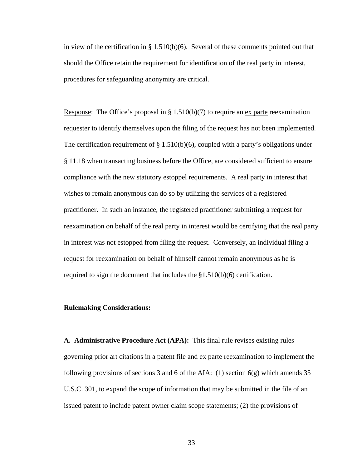in view of the certification in  $\S 1.510(b)(6)$ . Several of these comments pointed out that should the Office retain the requirement for identification of the real party in interest, procedures for safeguarding anonymity are critical.

Response: The Office's proposal in § 1.510(b)(7) to require an ex parte reexamination requester to identify themselves upon the filing of the request has not been implemented. The certification requirement of  $\S 1.510(b)(6)$ , coupled with a party's obligations under § 11.18 when transacting business before the Office, are considered sufficient to ensure compliance with the new statutory estoppel requirements. A real party in interest that wishes to remain anonymous can do so by utilizing the services of a registered practitioner. In such an instance, the registered practitioner submitting a request for reexamination on behalf of the real party in interest would be certifying that the real party in interest was not estopped from filing the request. Conversely, an individual filing a request for reexamination on behalf of himself cannot remain anonymous as he is required to sign the document that includes the §1.510(b)(6) certification.

## **Rulemaking Considerations:**

**A. Administrative Procedure Act (APA):** This final rule revises existing rules governing prior art citations in a patent file and ex parte reexamination to implement the following provisions of sections 3 and 6 of the AIA: (1) section  $6(g)$  which amends 35 U.S.C. 301, to expand the scope of information that may be submitted in the file of an issued patent to include patent owner claim scope statements; (2) the provisions of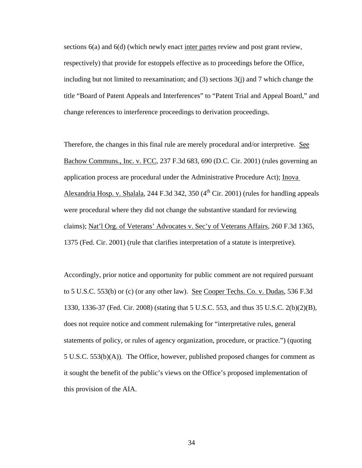sections 6(a) and 6(d) (which newly enact inter partes review and post grant review, respectively) that provide for estoppels effective as to proceedings before the Office, including but not limited to reexamination; and (3) sections 3(j) and 7 which change the title "Board of Patent Appeals and Interferences" to "Patent Trial and Appeal Board," and change references to interference proceedings to derivation proceedings.

Therefore, the changes in this final rule are merely procedural and/or interpretive. See Bachow Communs., Inc. v. FCC, 237 F.3d 683, 690 (D.C. Cir. 2001) (rules governing an application process are procedural under the Administrative Procedure Act); Inova Alexandria Hosp. v. Shalala, 244 F.3d 342, 350  $(4<sup>th</sup> Cir. 2001)$  (rules for handling appeals were procedural where they did not change the substantive standard for reviewing claims); Nat'l Org. of Veterans' Advocates v. Sec'y of Veterans Affairs, 260 F.3d 1365, 1375 (Fed. Cir. 2001) (rule that clarifies interpretation of a statute is interpretive).

Accordingly, prior notice and opportunity for public comment are not required pursuant to 5 U.S.C. 553(b) or (c) (or any other law). See Cooper Techs. Co. v. Dudas, 536 F.3d 1330, 1336-37 (Fed. Cir. 2008) (stating that 5 U.S.C. 553, and thus 35 U.S.C. 2(b)(2)(B), does not require notice and comment rulemaking for "interpretative rules, general statements of policy, or rules of agency organization, procedure, or practice.") (quoting 5 U.S.C. 553(b)(A)). The Office, however, published proposed changes for comment as it sought the benefit of the public's views on the Office's proposed implementation of this provision of the AIA.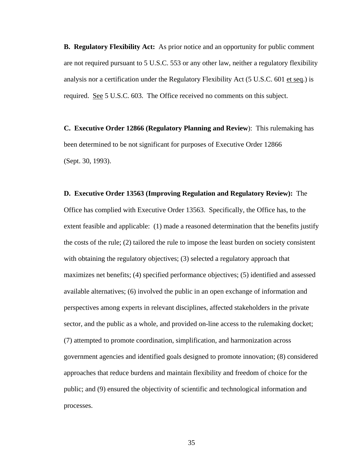**B. Regulatory Flexibility Act:** As prior notice and an opportunity for public comment are not required pursuant to 5 U.S.C. 553 or any other law, neither a regulatory flexibility analysis nor a certification under the Regulatory Flexibility Act (5 U.S.C. 601 et seq.) is required. See 5 U.S.C. 603. The Office received no comments on this subject.

**C. Executive Order 12866 (Regulatory Planning and Review**): This rulemaking has been determined to be not significant for purposes of Executive Order 12866 (Sept. 30, 1993).

**D. Executive Order 13563 (Improving Regulation and Regulatory Review):** The Office has complied with Executive Order 13563. Specifically, the Office has, to the extent feasible and applicable: (1) made a reasoned determination that the benefits justify the costs of the rule; (2) tailored the rule to impose the least burden on society consistent with obtaining the regulatory objectives; (3) selected a regulatory approach that maximizes net benefits; (4) specified performance objectives; (5) identified and assessed available alternatives; (6) involved the public in an open exchange of information and perspectives among experts in relevant disciplines, affected stakeholders in the private sector, and the public as a whole, and provided on-line access to the rulemaking docket; (7) attempted to promote coordination, simplification, and harmonization across government agencies and identified goals designed to promote innovation; (8) considered approaches that reduce burdens and maintain flexibility and freedom of choice for the public; and (9) ensured the objectivity of scientific and technological information and processes.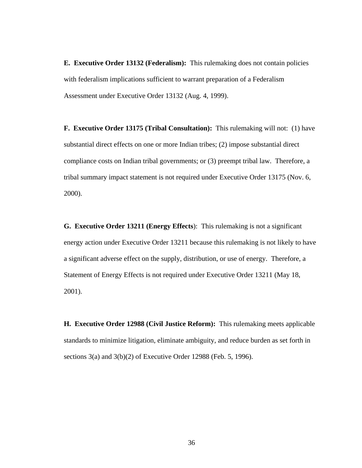**E. Executive Order 13132 (Federalism):** This rulemaking does not contain policies with federalism implications sufficient to warrant preparation of a Federalism Assessment under Executive Order 13132 (Aug. 4, 1999).

**F. Executive Order 13175 (Tribal Consultation):** This rulemaking will not: (1) have substantial direct effects on one or more Indian tribes; (2) impose substantial direct compliance costs on Indian tribal governments; or (3) preempt tribal law. Therefore, a tribal summary impact statement is not required under Executive Order 13175 (Nov. 6, 2000).

**G. Executive Order 13211 (Energy Effects**): This rulemaking is not a significant energy action under Executive Order 13211 because this rulemaking is not likely to have a significant adverse effect on the supply, distribution, or use of energy. Therefore, a Statement of Energy Effects is not required under Executive Order 13211 (May 18, 2001).

**H. Executive Order 12988 (Civil Justice Reform):** This rulemaking meets applicable standards to minimize litigation, eliminate ambiguity, and reduce burden as set forth in sections 3(a) and 3(b)(2) of Executive Order 12988 (Feb. 5, 1996).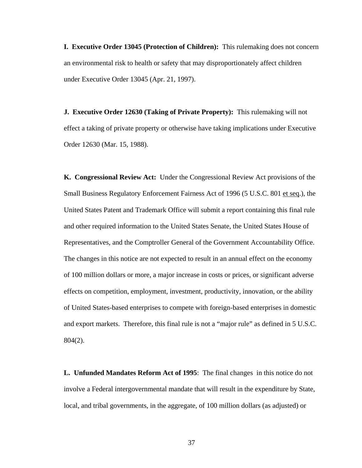**I. Executive Order 13045 (Protection of Children):** This rulemaking does not concern an environmental risk to health or safety that may disproportionately affect children under Executive Order 13045 (Apr. 21, 1997).

**J. Executive Order 12630 (Taking of Private Property):** This rulemaking will not effect a taking of private property or otherwise have taking implications under Executive Order 12630 (Mar. 15, 1988).

**K. Congressional Review Act:** Under the Congressional Review Act provisions of the Small Business Regulatory Enforcement Fairness Act of 1996 (5 U.S.C. 801 et seq.), the United States Patent and Trademark Office will submit a report containing this final rule and other required information to the United States Senate, the United States House of Representatives, and the Comptroller General of the Government Accountability Office. The changes in this notice are not expected to result in an annual effect on the economy of 100 million dollars or more, a major increase in costs or prices, or significant adverse effects on competition, employment, investment, productivity, innovation, or the ability of United States-based enterprises to compete with foreign-based enterprises in domestic and export markets. Therefore, this final rule is not a "major rule" as defined in 5 U.S.C. 804(2).

**L. Unfunded Mandates Reform Act of 1995**: The final changes in this notice do not involve a Federal intergovernmental mandate that will result in the expenditure by State, local, and tribal governments, in the aggregate, of 100 million dollars (as adjusted) or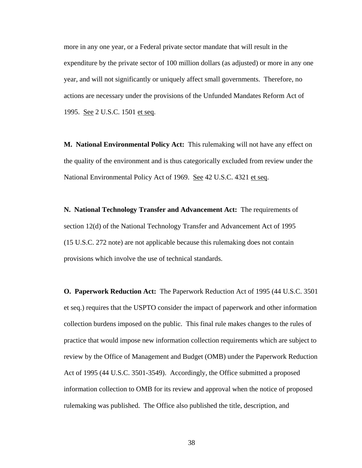more in any one year, or a Federal private sector mandate that will result in the expenditure by the private sector of 100 million dollars (as adjusted) or more in any one year, and will not significantly or uniquely affect small governments. Therefore, no actions are necessary under the provisions of the Unfunded Mandates Reform Act of 1995. See 2 U.S.C. 1501 et seq.

**M. National Environmental Policy Act:** This rulemaking will not have any effect on the quality of the environment and is thus categorically excluded from review under the National Environmental Policy Act of 1969. See 42 U.S.C. 4321 et seq.

**N. National Technology Transfer and Advancement Act:** The requirements of section 12(d) of the National Technology Transfer and Advancement Act of 1995 (15 U.S.C. 272 note) are not applicable because this rulemaking does not contain provisions which involve the use of technical standards.

**O. Paperwork Reduction Act:** The Paperwork Reduction Act of 1995 (44 U.S.C. 3501 et seq.) requires that the USPTO consider the impact of paperwork and other information collection burdens imposed on the public. This final rule makes changes to the rules of practice that would impose new information collection requirements which are subject to review by the Office of Management and Budget (OMB) under the Paperwork Reduction Act of 1995 (44 U.S.C. 3501-3549). Accordingly, the Office submitted a proposed information collection to OMB for its review and approval when the notice of proposed rulemaking was published. The Office also published the title, description, and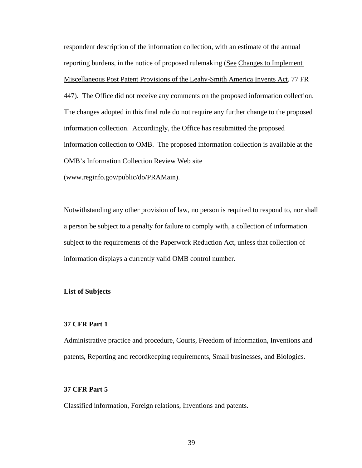respondent description of the information collection, with an estimate of the annual reporting burdens, in the notice of proposed rulemaking (See Changes to Implement Miscellaneous Post Patent Provisions of the Leahy-Smith America Invents Act, 77 FR 447). The Office did not receive any comments on the proposed information collection. The changes adopted in this final rule do not require any further change to the proposed information collection. Accordingly, the Office has resubmitted the proposed information collection to OMB. The proposed information collection is available at the OMB's Information Collection Review Web site (www.reginfo.gov/public/do/PRAMain).

Notwithstanding any other provision of law, no person is required to respond to, nor shall a person be subject to a penalty for failure to comply with, a collection of information subject to the requirements of the Paperwork Reduction Act, unless that collection of information displays a currently valid OMB control number.

#### **List of Subjects**

## **37 CFR Part 1**

Administrative practice and procedure, Courts, Freedom of information, Inventions and patents, Reporting and recordkeeping requirements, Small businesses, and Biologics.

## **37 CFR Part 5**

Classified information, Foreign relations, Inventions and patents.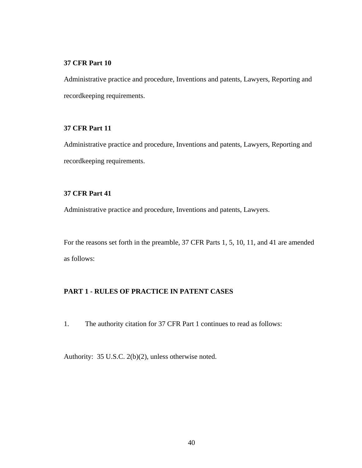## **37 CFR Part 10**

Administrative practice and procedure, Inventions and patents, Lawyers, Reporting and recordkeeping requirements.

## **37 CFR Part 11**

Administrative practice and procedure, Inventions and patents, Lawyers, Reporting and recordkeeping requirements.

## **37 CFR Part 41**

Administrative practice and procedure, Inventions and patents, Lawyers.

For the reasons set forth in the preamble, 37 CFR Parts 1, 5, 10, 11, and 41 are amended as follows:

## **PART 1 - RULES OF PRACTICE IN PATENT CASES**

1. The authority citation for 37 CFR Part 1 continues to read as follows:

Authority: 35 U.S.C. 2(b)(2), unless otherwise noted.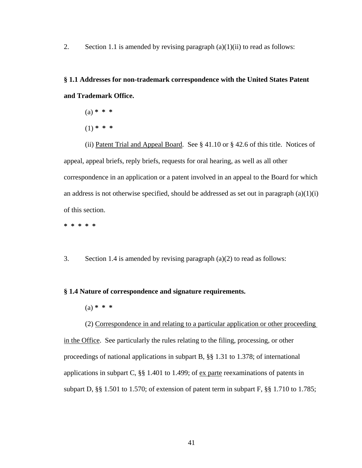2. Section 1.1 is amended by revising paragraph  $(a)(1)(ii)$  to read as follows:

**§ 1.1 Addresses for non-trademark correspondence with the United States Patent and Trademark Office.** 

- (a) **\* \* \***
- (1) **\* \* \***

(ii) Patent Trial and Appeal Board. See § 41.10 or § 42.6 of this title. Notices of appeal, appeal briefs, reply briefs, requests for oral hearing, as well as all other correspondence in an application or a patent involved in an appeal to the Board for which an address is not otherwise specified, should be addressed as set out in paragraph  $(a)(1)(i)$ of this section.

**\* \* \* \* \*** 

3. Section 1.4 is amended by revising paragraph (a)(2) to read as follows:

### **§ 1.4 Nature of correspondence and signature requirements.**

(a) **\* \* \***

(2) Correspondence in and relating to a particular application or other proceeding in the Office. See particularly the rules relating to the filing, processing, or other proceedings of national applications in subpart B, §§ 1.31 to 1.378; of international applications in subpart C,  $\S$  1.401 to 1.499; of ex parte reexaminations of patents in subpart D, §§ 1.501 to 1.570; of extension of patent term in subpart F, §§ 1.710 to 1.785;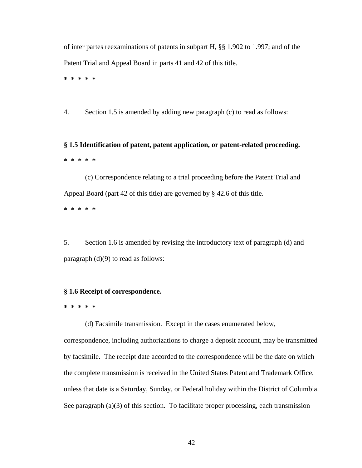of inter partes reexaminations of patents in subpart H, §§ 1.902 to 1.997; and of the Patent Trial and Appeal Board in parts 41 and 42 of this title. **\* \* \* \* \*** 

4. Section 1.5 is amended by adding new paragraph (c) to read as follows:

**§ 1.5 Identification of patent, patent application, or patent-related proceeding. \* \* \* \* \*** 

(c) Correspondence relating to a trial proceeding before the Patent Trial and Appeal Board (part 42 of this title) are governed by § 42.6 of this title.

**\* \* \* \* \*** 

5. Section 1.6 is amended by revising the introductory text of paragraph (d) and paragraph (d)(9) to read as follows:

## **§ 1.6 Receipt of correspondence.**

**\* \* \* \* \*** 

(d) Facsimile transmission. Except in the cases enumerated below,

correspondence, including authorizations to charge a deposit account, may be transmitted by facsimile. The receipt date accorded to the correspondence will be the date on which the complete transmission is received in the United States Patent and Trademark Office, unless that date is a Saturday, Sunday, or Federal holiday within the District of Columbia. See paragraph (a)(3) of this section. To facilitate proper processing, each transmission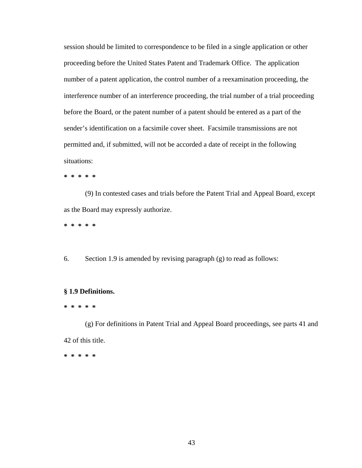session should be limited to correspondence to be filed in a single application or other proceeding before the United States Patent and Trademark Office. The application number of a patent application, the control number of a reexamination proceeding, the interference number of an interference proceeding, the trial number of a trial proceeding before the Board, or the patent number of a patent should be entered as a part of the sender's identification on a facsimile cover sheet. Facsimile transmissions are not permitted and, if submitted, will not be accorded a date of receipt in the following situations:

**\* \* \* \* \*** 

 (9) In contested cases and trials before the Patent Trial and Appeal Board, except as the Board may expressly authorize.

**\* \* \* \* \*** 

6. Section 1.9 is amended by revising paragraph (g) to read as follows:

## **§ 1.9 Definitions.**

#### **\* \* \* \* \***

(g) For definitions in Patent Trial and Appeal Board proceedings, see parts 41 and 42 of this title.

**\* \* \* \* \***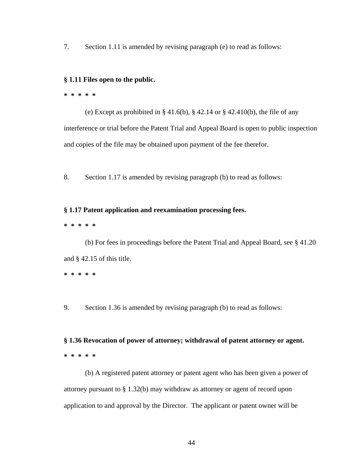7. Section 1.11 is amended by revising paragraph (e) to read as follows:

#### **§ 1.11 Files open to the public.**

#### **\* \* \* \* \***

(e) Except as prohibited in  $\S 41.6(b)$ ,  $\S 42.14$  or  $\S 42.410(b)$ , the file of any interference or trial before the Patent Trial and Appeal Board is open to public inspection and copies of the file may be obtained upon payment of the fee therefor.

8. Section 1.17 is amended by revising paragraph (b) to read as follows:

### **§ 1.17 Patent application and reexamination processing fees.**

**\* \* \* \* \*** 

(b) For fees in proceedings before the Patent Trial and Appeal Board, see § 41.20 and § 42.15 of this title.

**\* \* \* \* \*** 

9. Section 1.36 is amended by revising paragraph (b) to read as follows:

**§ 1.36 Revocation of power of attorney; withdrawal of patent attorney or agent. \* \* \* \* \*** 

 (b) A registered patent attorney or patent agent who has been given a power of attorney pursuant to § 1.32(b) may withdraw as attorney or agent of record upon application to and approval by the Director. The applicant or patent owner will be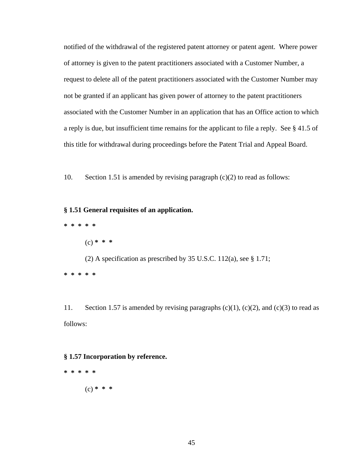notified of the withdrawal of the registered patent attorney or patent agent. Where power of attorney is given to the patent practitioners associated with a Customer Number, a request to delete all of the patent practitioners associated with the Customer Number may not be granted if an applicant has given power of attorney to the patent practitioners associated with the Customer Number in an application that has an Office action to which a reply is due, but insufficient time remains for the applicant to file a reply. See § 41.5 of this title for withdrawal during proceedings before the Patent Trial and Appeal Board.

10. Section 1.51 is amended by revising paragraph (c)(2) to read as follows:

## **§ 1.51 General requisites of an application.**

- **\* \* \* \* \*** 
	- (c) **\* \* \***

 (2) A specification as prescribed by 35 U.S.C. 112(a), see § 1.71; **\* \* \* \* \*** 

11. Section 1.57 is amended by revising paragraphs  $(c)(1)$ ,  $(c)(2)$ , and  $(c)(3)$  to read as follows:

### **§ 1.57 Incorporation by reference.**

**\* \* \* \* \***  (c) **\* \* \***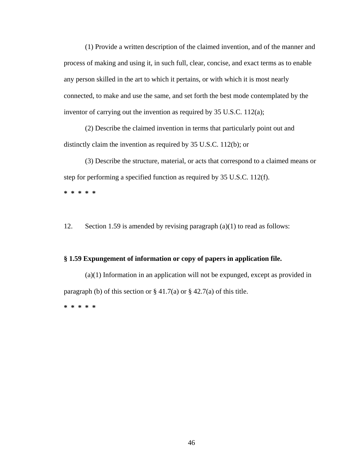(1) Provide a written description of the claimed invention, and of the manner and process of making and using it, in such full, clear, concise, and exact terms as to enable any person skilled in the art to which it pertains, or with which it is most nearly connected, to make and use the same, and set forth the best mode contemplated by the inventor of carrying out the invention as required by 35 U.S.C. 112(a);

(2) Describe the claimed invention in terms that particularly point out and distinctly claim the invention as required by 35 U.S.C. 112(b); or

(3) Describe the structure, material, or acts that correspond to a claimed means or step for performing a specified function as required by 35 U.S.C. 112(f).

**\* \* \* \* \*** 

12. Section 1.59 is amended by revising paragraph (a)(1) to read as follows:

#### **§ 1.59 Expungement of information or copy of papers in application file.**

(a)(1) Information in an application will not be expunged, except as provided in paragraph (b) of this section or  $\S 41.7(a)$  or  $\S 42.7(a)$  of this title. **\* \* \* \* \***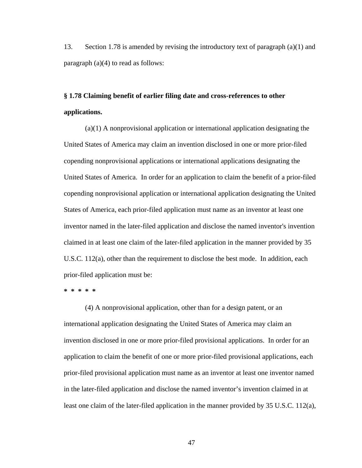13. Section 1.78 is amended by revising the introductory text of paragraph (a)(1) and paragraph (a)(4) to read as follows:

## **§ 1.78 Claiming benefit of earlier filing date and cross-references to other applications.**

(a)(1) A nonprovisional application or international application designating the United States of America may claim an invention disclosed in one or more prior-filed copending nonprovisional applications or international applications designating the United States of America. In order for an application to claim the benefit of a prior-filed copending nonprovisional application or international application designating the United States of America, each prior-filed application must name as an inventor at least one inventor named in the later-filed application and disclose the named inventor's invention claimed in at least one claim of the later-filed application in the manner provided by 35 U.S.C. 112(a), other than the requirement to disclose the best mode. In addition, each prior-filed application must be:

#### **\* \* \* \* \***

(4) A nonprovisional application, other than for a design patent, or an international application designating the United States of America may claim an invention disclosed in one or more prior-filed provisional applications. In order for an application to claim the benefit of one or more prior-filed provisional applications, each prior-filed provisional application must name as an inventor at least one inventor named in the later-filed application and disclose the named inventor's invention claimed in at least one claim of the later-filed application in the manner provided by 35 U.S.C. 112(a),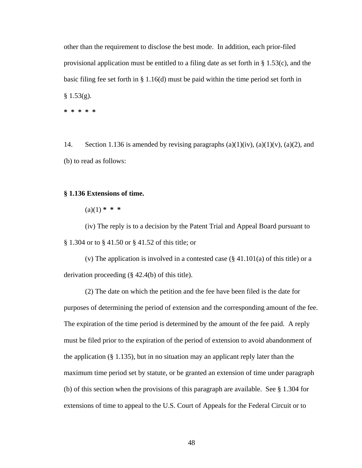other than the requirement to disclose the best mode. In addition, each prior-filed provisional application must be entitled to a filing date as set forth in  $\S$  1.53(c), and the basic filing fee set forth in § 1.16(d) must be paid within the time period set forth in  $§ 1.53(g).$ **\* \* \* \* \*** 

14. Section 1.136 is amended by revising paragraphs  $(a)(1)(iv)$ ,  $(a)(1)(v)$ ,  $(a)(2)$ , and (b) to read as follows:

## **§ 1.136 Extensions of time.**

 $(a)(1)$  \* \* \*

(iv) The reply is to a decision by the Patent Trial and Appeal Board pursuant to § 1.304 or to § 41.50 or § 41.52 of this title; or

(v) The application is involved in a contested case  $(\S 41.101(a)$  of this title) or a derivation proceeding (§ 42.4(b) of this title).

(2) The date on which the petition and the fee have been filed is the date for purposes of determining the period of extension and the corresponding amount of the fee. The expiration of the time period is determined by the amount of the fee paid. A reply must be filed prior to the expiration of the period of extension to avoid abandonment of the application (§ 1.135), but in no situation may an applicant reply later than the maximum time period set by statute, or be granted an extension of time under paragraph (b) of this section when the provisions of this paragraph are available. See § 1.304 for extensions of time to appeal to the U.S. Court of Appeals for the Federal Circuit or to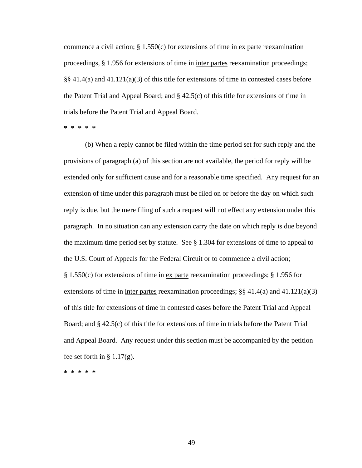commence a civil action;  $\S$  1.550(c) for extensions of time in ex parte reexamination proceedings, § 1.956 for extensions of time in inter partes reexamination proceedings; §§ 41.4(a) and 41.121(a)(3) of this title for extensions of time in contested cases before the Patent Trial and Appeal Board; and  $\S$  42.5(c) of this title for extensions of time in trials before the Patent Trial and Appeal Board.

**\* \* \* \* \*** 

 (b) When a reply cannot be filed within the time period set for such reply and the provisions of paragraph (a) of this section are not available, the period for reply will be extended only for sufficient cause and for a reasonable time specified. Any request for an extension of time under this paragraph must be filed on or before the day on which such reply is due, but the mere filing of such a request will not effect any extension under this paragraph. In no situation can any extension carry the date on which reply is due beyond the maximum time period set by statute. See § 1.304 for extensions of time to appeal to the U.S. Court of Appeals for the Federal Circuit or to commence a civil action; § 1.550(c) for extensions of time in ex parte reexamination proceedings; § 1.956 for extensions of time in inter partes reexamination proceedings;  $\S$  41.4(a) and 41.121(a)(3) of this title for extensions of time in contested cases before the Patent Trial and Appeal Board; and § 42.5(c) of this title for extensions of time in trials before the Patent Trial and Appeal Board. Any request under this section must be accompanied by the petition fee set forth in  $\S 1.17(g)$ .

**\* \* \* \* \***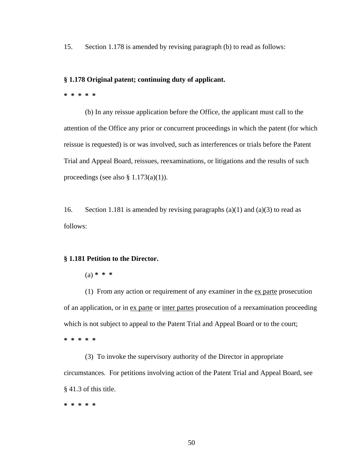15. Section 1.178 is amended by revising paragraph (b) to read as follows:

### **§ 1.178 Original patent; continuing duty of applicant.**

**\* \* \* \* \*** 

(b) In any reissue application before the Office, the applicant must call to the attention of the Office any prior or concurrent proceedings in which the patent (for which reissue is requested) is or was involved, such as interferences or trials before the Patent Trial and Appeal Board, reissues, reexaminations, or litigations and the results of such proceedings (see also  $\S$  1.173(a)(1)).

16. Section 1.181 is amended by revising paragraphs  $(a)(1)$  and  $(a)(3)$  to read as follows:

#### **§ 1.181 Petition to the Director.**

(a) **\* \* \***

(1) From any action or requirement of any examiner in the ex parte prosecution of an application, or in ex parte or inter partes prosecution of a reexamination proceeding which is not subject to appeal to the Patent Trial and Appeal Board or to the court; **\* \* \* \* \*** 

(3) To invoke the supervisory authority of the Director in appropriate circumstances. For petitions involving action of the Patent Trial and Appeal Board, see § 41.3 of this title.

**\* \* \* \* \***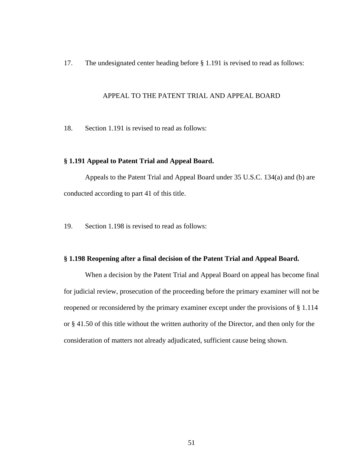17. The undesignated center heading before § 1.191 is revised to read as follows:

## APPEAL TO THE PATENT TRIAL AND APPEAL BOARD

18. Section 1.191 is revised to read as follows:

## **§ 1.191 Appeal to Patent Trial and Appeal Board.**

Appeals to the Patent Trial and Appeal Board under 35 U.S.C. 134(a) and (b) are conducted according to part 41 of this title.

19. Section 1.198 is revised to read as follows:

#### **§ 1.198 Reopening after a final decision of the Patent Trial and Appeal Board.**

When a decision by the Patent Trial and Appeal Board on appeal has become final for judicial review, prosecution of the proceeding before the primary examiner will not be reopened or reconsidered by the primary examiner except under the provisions of § 1.114 or § 41.50 of this title without the written authority of the Director, and then only for the consideration of matters not already adjudicated, sufficient cause being shown.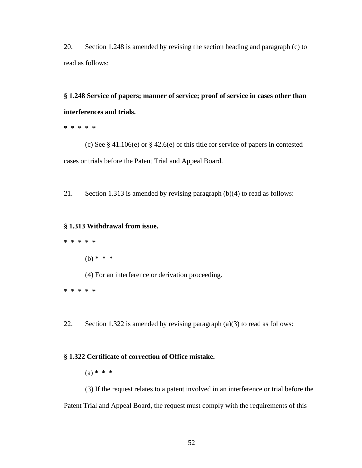20. Section 1.248 is amended by revising the section heading and paragraph (c) to read as follows:

**§ 1.248 Service of papers; manner of service; proof of service in cases other than interferences and trials.** 

**\* \* \* \* \*** 

(c) See § 41.106(e) or § 42.6(e) of this title for service of papers in contested cases or trials before the Patent Trial and Appeal Board.

21. Section 1.313 is amended by revising paragraph (b)(4) to read as follows:

### **§ 1.313 Withdrawal from issue.**

**\* \* \* \* \*** 

(b) **\* \* \***

(4) For an interference or derivation proceeding.

**\* \* \* \* \*** 

22. Section 1.322 is amended by revising paragraph (a)(3) to read as follows:

## **§ 1.322 Certificate of correction of Office mistake.**

(a) **\* \* \***

(3) If the request relates to a patent involved in an interference or trial before the Patent Trial and Appeal Board, the request must comply with the requirements of this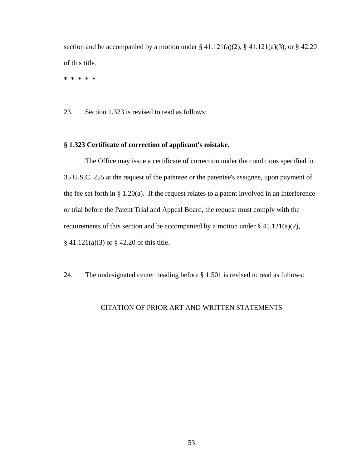section and be accompanied by a motion under  $\S 41.121(a)(2)$ ,  $\S 41.121(a)(3)$ , or  $\S 42.20$ of this title.

**\* \* \* \* \*** 

23. Section 1.323 is revised to read as follows:

## **§ 1.323 Certificate of correction of applicant's mistake.**

The Office may issue a certificate of correction under the conditions specified in 35 U.S.C. 255 at the request of the patentee or the patentee's assignee, upon payment of the fee set forth in  $\S 1.20(a)$ . If the request relates to a patent involved in an interference or trial before the Patent Trial and Appeal Board, the request must comply with the requirements of this section and be accompanied by a motion under  $\S$  41.121(a)(2), § 41.121(a)(3) or § 42.20 of this title.

24. The undesignated center heading before § 1.501 is revised to read as follows:

## CITATION OF PRIOR ART AND WRITTEN STATEMENTS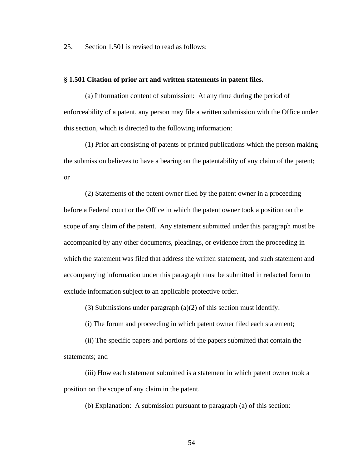25. Section 1.501 is revised to read as follows:

## **§ 1.501 Citation of prior art and written statements in patent files.**

(a) Information content of submission: At any time during the period of enforceability of a patent, any person may file a written submission with the Office under this section, which is directed to the following information:

 (1) Prior art consisting of patents or printed publications which the person making the submission believes to have a bearing on the patentability of any claim of the patent; or

 (2) Statements of the patent owner filed by the patent owner in a proceeding before a Federal court or the Office in which the patent owner took a position on the scope of any claim of the patent. Any statement submitted under this paragraph must be accompanied by any other documents, pleadings, or evidence from the proceeding in which the statement was filed that address the written statement, and such statement and accompanying information under this paragraph must be submitted in redacted form to exclude information subject to an applicable protective order.

(3) Submissions under paragraph  $(a)(2)$  of this section must identify:

(i) The forum and proceeding in which patent owner filed each statement;

(ii) The specific papers and portions of the papers submitted that contain the statements; and

(iii) How each statement submitted is a statement in which patent owner took a position on the scope of any claim in the patent.

(b) Explanation: A submission pursuant to paragraph (a) of this section: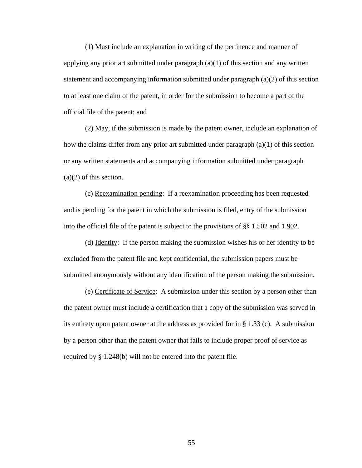(1) Must include an explanation in writing of the pertinence and manner of applying any prior art submitted under paragraph  $(a)(1)$  of this section and any written statement and accompanying information submitted under paragraph (a)(2) of this section to at least one claim of the patent, in order for the submission to become a part of the official file of the patent; and

 (2) May, if the submission is made by the patent owner, include an explanation of how the claims differ from any prior art submitted under paragraph  $(a)(1)$  of this section or any written statements and accompanying information submitted under paragraph (a)(2) of this section.

(c) Reexamination pending: If a reexamination proceeding has been requested and is pending for the patent in which the submission is filed, entry of the submission into the official file of the patent is subject to the provisions of §§ 1.502 and 1.902.

(d) Identity: If the person making the submission wishes his or her identity to be excluded from the patent file and kept confidential, the submission papers must be submitted anonymously without any identification of the person making the submission.

(e) Certificate of Service: A submission under this section by a person other than the patent owner must include a certification that a copy of the submission was served in its entirety upon patent owner at the address as provided for in § 1.33 (c). A submission by a person other than the patent owner that fails to include proper proof of service as required by § 1.248(b) will not be entered into the patent file.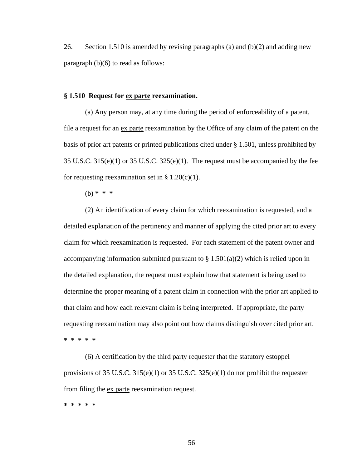26. Section 1.510 is amended by revising paragraphs (a) and (b)(2) and adding new paragraph (b)(6) to read as follows:

## **§ 1.510 Request for ex parte reexamination.**

(a) Any person may, at any time during the period of enforceability of a patent, file a request for an ex parte reexamination by the Office of any claim of the patent on the basis of prior art patents or printed publications cited under § 1.501, unless prohibited by 35 U.S.C. 315(e)(1) or 35 U.S.C. 325(e)(1). The request must be accompanied by the fee for requesting reexamination set in  $\S 1.20(c)(1)$ .

(b) **\* \* \*** 

(2) An identification of every claim for which reexamination is requested, and a detailed explanation of the pertinency and manner of applying the cited prior art to every claim for which reexamination is requested. For each statement of the patent owner and accompanying information submitted pursuant to  $\S 1.501(a)(2)$  which is relied upon in the detailed explanation, the request must explain how that statement is being used to determine the proper meaning of a patent claim in connection with the prior art applied to that claim and how each relevant claim is being interpreted. If appropriate, the party requesting reexamination may also point out how claims distinguish over cited prior art. **\* \* \* \* \*** 

(6) A certification by the third party requester that the statutory estoppel provisions of 35 U.S.C. 315(e)(1) or 35 U.S.C. 325(e)(1) do not prohibit the requester from filing the ex parte reexamination request.

**\* \* \* \* \***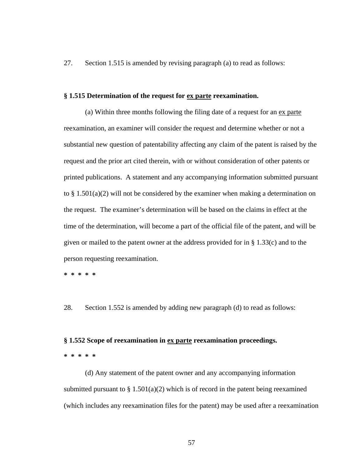27. Section 1.515 is amended by revising paragraph (a) to read as follows:

### **§ 1.515 Determination of the request for ex parte reexamination.**

(a) Within three months following the filing date of a request for an ex parte reexamination, an examiner will consider the request and determine whether or not a substantial new question of patentability affecting any claim of the patent is raised by the request and the prior art cited therein, with or without consideration of other patents or printed publications. A statement and any accompanying information submitted pursuant to  $\S 1.501(a)(2)$  will not be considered by the examiner when making a determination on the request. The examiner's determination will be based on the claims in effect at the time of the determination, will become a part of the official file of the patent, and will be given or mailed to the patent owner at the address provided for in  $\S$  1.33(c) and to the person requesting reexamination.

**\* \* \* \* \*** 

28. Section 1.552 is amended by adding new paragraph (d) to read as follows:

#### **§ 1.552 Scope of reexamination in ex parte reexamination proceedings.**

#### **\* \* \* \* \***

(d) Any statement of the patent owner and any accompanying information submitted pursuant to  $\S 1.501(a)(2)$  which is of record in the patent being reexamined (which includes any reexamination files for the patent) may be used after a reexamination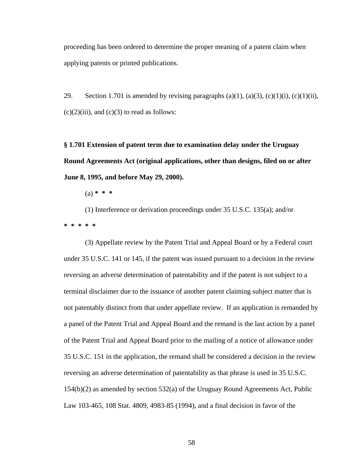proceeding has been ordered to determine the proper meaning of a patent claim when applying patents or printed publications.

29. Section 1.701 is amended by revising paragraphs (a)(1), (a)(3), (c)(1)(i), (c)(1)(ii),  $(c)(2)(iii)$ , and  $(c)(3)$  to read as follows:

**§ 1.701 Extension of patent term due to examination delay under the Uruguay Round Agreements Act (original applications, other than designs, filed on or after June 8, 1995, and before May 29, 2000).** 

(a) **\* \* \***

 (1) Interference or derivation proceedings under 35 U.S.C. 135(a); and/or **\* \* \* \* \*** 

(3) Appellate review by the Patent Trial and Appeal Board or by a Federal court under 35 U.S.C. 141 or 145, if the patent was issued pursuant to a decision in the review reversing an adverse determination of patentability and if the patent is not subject to a terminal disclaimer due to the issuance of another patent claiming subject matter that is not patentably distinct from that under appellate review. If an application is remanded by a panel of the Patent Trial and Appeal Board and the remand is the last action by a panel of the Patent Trial and Appeal Board prior to the mailing of a notice of allowance under 35 U.S.C. 151 in the application, the remand shall be considered a decision in the review reversing an adverse determination of patentability as that phrase is used in 35 U.S.C. 154(b)(2) as amended by section 532(a) of the Uruguay Round Agreements Act, Public Law 103-465, 108 Stat. 4809, 4983-85 (1994), and a final decision in favor of the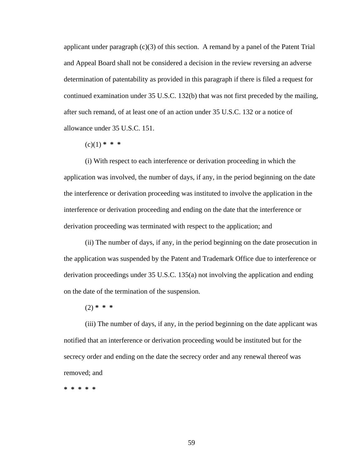applicant under paragraph (c)(3) of this section. A remand by a panel of the Patent Trial and Appeal Board shall not be considered a decision in the review reversing an adverse determination of patentability as provided in this paragraph if there is filed a request for continued examination under 35 U.S.C. 132(b) that was not first preceded by the mailing, after such remand, of at least one of an action under 35 U.S.C. 132 or a notice of allowance under 35 U.S.C. 151.

 $(c)(1)$  \* \* \*

 (i) With respect to each interference or derivation proceeding in which the application was involved, the number of days, if any, in the period beginning on the date the interference or derivation proceeding was instituted to involve the application in the interference or derivation proceeding and ending on the date that the interference or derivation proceeding was terminated with respect to the application; and

(ii) The number of days, if any, in the period beginning on the date prosecution in the application was suspended by the Patent and Trademark Office due to interference or derivation proceedings under 35 U.S.C. 135(a) not involving the application and ending on the date of the termination of the suspension.

(2) **\* \* \***

(iii) The number of days, if any, in the period beginning on the date applicant was notified that an interference or derivation proceeding would be instituted but for the secrecy order and ending on the date the secrecy order and any renewal thereof was removed; and

**\* \* \* \* \***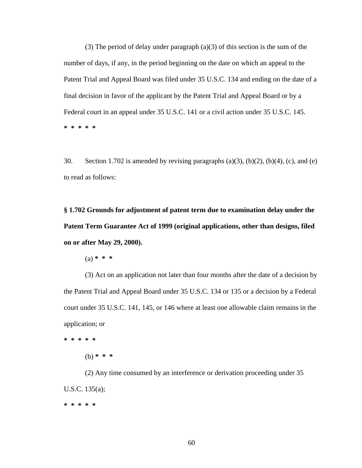(3) The period of delay under paragraph (a)(3) of this section is the sum of the number of days, if any, in the period beginning on the date on which an appeal to the Patent Trial and Appeal Board was filed under 35 U.S.C. 134 and ending on the date of a final decision in favor of the applicant by the Patent Trial and Appeal Board or by a Federal court in an appeal under 35 U.S.C. 141 or a civil action under 35 U.S.C. 145. **\* \* \* \* \*** 

30. Section 1.702 is amended by revising paragraphs (a)(3), (b)(2), (b)(4), (c), and (e) to read as follows:

**§ 1.702 Grounds for adjustment of patent term due to examination delay under the Patent Term Guarantee Act of 1999 (original applications, other than designs, filed on or after May 29, 2000).** 

(a) **\* \* \***

(3) Act on an application not later than four months after the date of a decision by the Patent Trial and Appeal Board under 35 U.S.C. 134 or 135 or a decision by a Federal court under 35 U.S.C. 141, 145, or 146 where at least one allowable claim remains in the application; or

**\* \* \* \* \*** 

(b) **\* \* \***

(2) Any time consumed by an interference or derivation proceeding under 35 U.S.C. 135(a); **\* \* \* \* \***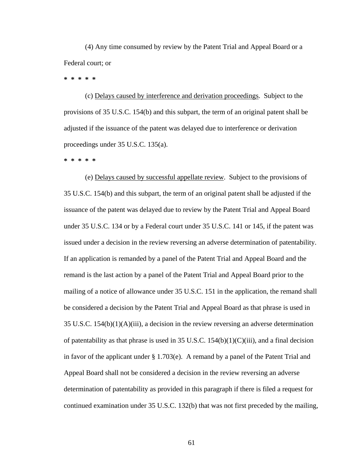(4) Any time consumed by review by the Patent Trial and Appeal Board or a Federal court; or

**\* \* \* \* \*** 

 (c) Delays caused by interference and derivation proceedings. Subject to the provisions of 35 U.S.C. 154(b) and this subpart, the term of an original patent shall be adjusted if the issuance of the patent was delayed due to interference or derivation proceedings under 35 U.S.C. 135(a).

**\* \* \* \* \*** 

 (e) Delays caused by successful appellate review. Subject to the provisions of 35 U.S.C. 154(b) and this subpart, the term of an original patent shall be adjusted if the issuance of the patent was delayed due to review by the Patent Trial and Appeal Board under 35 U.S.C. 134 or by a Federal court under 35 U.S.C. 141 or 145, if the patent was issued under a decision in the review reversing an adverse determination of patentability. If an application is remanded by a panel of the Patent Trial and Appeal Board and the remand is the last action by a panel of the Patent Trial and Appeal Board prior to the mailing of a notice of allowance under 35 U.S.C. 151 in the application, the remand shall be considered a decision by the Patent Trial and Appeal Board as that phrase is used in 35 U.S.C.  $154(b)(1)(A)(iii)$ , a decision in the review reversing an adverse determination of patentability as that phrase is used in 35 U.S.C. 154(b)(1)(C)(iii), and a final decision in favor of the applicant under § 1.703(e). A remand by a panel of the Patent Trial and Appeal Board shall not be considered a decision in the review reversing an adverse determination of patentability as provided in this paragraph if there is filed a request for continued examination under 35 U.S.C. 132(b) that was not first preceded by the mailing,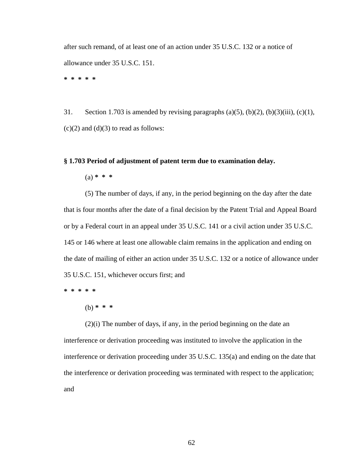after such remand, of at least one of an action under 35 U.S.C. 132 or a notice of allowance under 35 U.S.C. 151.

**\* \* \* \* \*** 

31. Section 1.703 is amended by revising paragraphs (a)(5), (b)(2), (b)(3)(iii), (c)(1),  $(c)(2)$  and  $(d)(3)$  to read as follows:

## **§ 1.703 Period of adjustment of patent term due to examination delay.**

(a) **\* \* \***

(5) The number of days, if any, in the period beginning on the day after the date that is four months after the date of a final decision by the Patent Trial and Appeal Board or by a Federal court in an appeal under 35 U.S.C. 141 or a civil action under 35 U.S.C. 145 or 146 where at least one allowable claim remains in the application and ending on the date of mailing of either an action under 35 U.S.C. 132 or a notice of allowance under 35 U.S.C. 151, whichever occurs first; and

**\* \* \* \* \*** 

(b) **\* \* \***

(2)(i) The number of days, if any, in the period beginning on the date an interference or derivation proceeding was instituted to involve the application in the interference or derivation proceeding under 35 U.S.C. 135(a) and ending on the date that the interference or derivation proceeding was terminated with respect to the application; and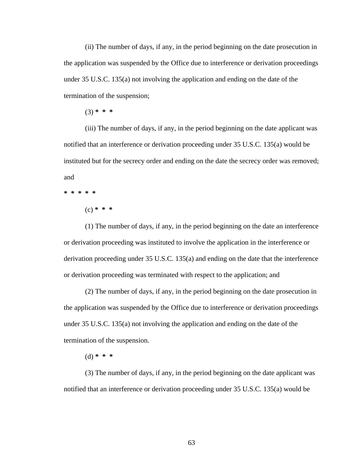(ii) The number of days, if any, in the period beginning on the date prosecution in the application was suspended by the Office due to interference or derivation proceedings under 35 U.S.C. 135(a) not involving the application and ending on the date of the termination of the suspension;

(3) **\* \* \***

(iii) The number of days, if any, in the period beginning on the date applicant was notified that an interference or derivation proceeding under 35 U.S.C. 135(a) would be instituted but for the secrecy order and ending on the date the secrecy order was removed; and

**\* \* \* \* \*** 

(c) **\* \* \***

(1) The number of days, if any, in the period beginning on the date an interference or derivation proceeding was instituted to involve the application in the interference or derivation proceeding under 35 U.S.C. 135(a) and ending on the date that the interference or derivation proceeding was terminated with respect to the application; and

(2) The number of days, if any, in the period beginning on the date prosecution in the application was suspended by the Office due to interference or derivation proceedings under 35 U.S.C. 135(a) not involving the application and ending on the date of the termination of the suspension.

(d) **\* \* \***

 (3) The number of days, if any, in the period beginning on the date applicant was notified that an interference or derivation proceeding under 35 U.S.C. 135(a) would be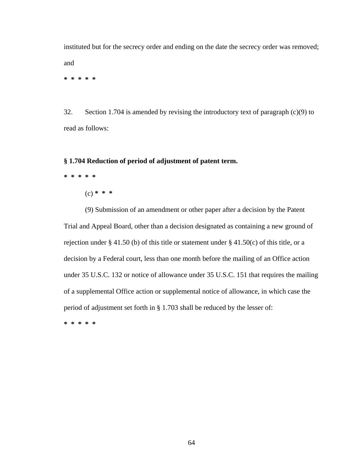instituted but for the secrecy order and ending on the date the secrecy order was removed; and

**\* \* \* \* \*** 

32. Section 1.704 is amended by revising the introductory text of paragraph (c)(9) to read as follows:

### **§ 1.704 Reduction of period of adjustment of patent term.**

- **\* \* \* \* \*** 
	- (c) **\* \* \***

(9) Submission of an amendment or other paper after a decision by the Patent Trial and Appeal Board, other than a decision designated as containing a new ground of rejection under § 41.50 (b) of this title or statement under § 41.50 $(c)$  of this title, or a decision by a Federal court, less than one month before the mailing of an Office action under 35 U.S.C. 132 or notice of allowance under 35 U.S.C. 151 that requires the mailing of a supplemental Office action or supplemental notice of allowance, in which case the period of adjustment set forth in § 1.703 shall be reduced by the lesser of: **\* \* \* \* \***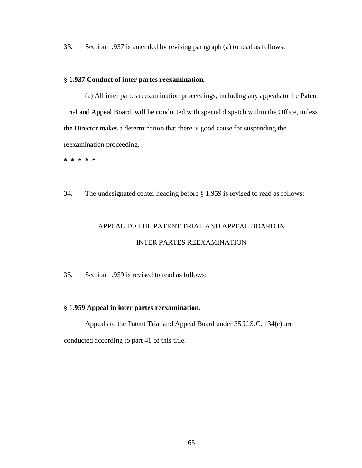33. Section 1.937 is amended by revising paragraph (a) to read as follows:

## **§ 1.937 Conduct of inter partes reexamination.**

(a) All inter partes reexamination proceedings, including any appeals to the Patent Trial and Appeal Board, will be conducted with special dispatch within the Office, unless the Director makes a determination that there is good cause for suspending the reexamination proceeding.

**\* \* \* \* \*** 

34. The undesignated center heading before § 1.959 is revised to read as follows:

# APPEAL TO THE PATENT TRIAL AND APPEAL BOARD IN INTER PARTES REEXAMINATION

35. Section 1.959 is revised to read as follows:

## **§ 1.959 Appeal in inter partes reexamination.**

Appeals to the Patent Trial and Appeal Board under 35 U.S.C. 134(c) are conducted according to part 41 of this title.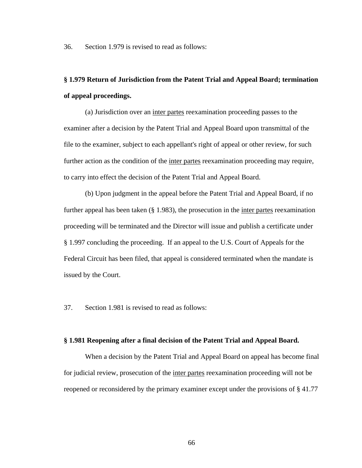36. Section 1.979 is revised to read as follows:

## **§ 1.979 Return of Jurisdiction from the Patent Trial and Appeal Board; termination of appeal proceedings.**

(a) Jurisdiction over an inter partes reexamination proceeding passes to the examiner after a decision by the Patent Trial and Appeal Board upon transmittal of the file to the examiner, subject to each appellant's right of appeal or other review, for such further action as the condition of the inter partes reexamination proceeding may require, to carry into effect the decision of the Patent Trial and Appeal Board.

(b) Upon judgment in the appeal before the Patent Trial and Appeal Board, if no further appeal has been taken (§ 1.983), the prosecution in the <u>inter partes</u> reexamination proceeding will be terminated and the Director will issue and publish a certificate under § 1.997 concluding the proceeding. If an appeal to the U.S. Court of Appeals for the Federal Circuit has been filed, that appeal is considered terminated when the mandate is issued by the Court.

37. Section 1.981 is revised to read as follows:

#### **§ 1.981 Reopening after a final decision of the Patent Trial and Appeal Board.**

When a decision by the Patent Trial and Appeal Board on appeal has become final for judicial review, prosecution of the inter partes reexamination proceeding will not be reopened or reconsidered by the primary examiner except under the provisions of § 41.77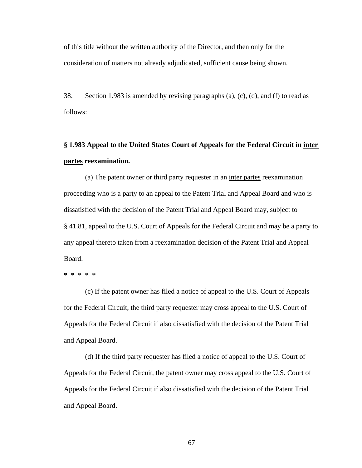of this title without the written authority of the Director, and then only for the consideration of matters not already adjudicated, sufficient cause being shown.

38. Section 1.983 is amended by revising paragraphs (a), (c), (d), and (f) to read as follows:

## **§ 1.983 Appeal to the United States Court of Appeals for the Federal Circuit in inter partes reexamination.**

(a) The patent owner or third party requester in an inter partes reexamination proceeding who is a party to an appeal to the Patent Trial and Appeal Board and who is dissatisfied with the decision of the Patent Trial and Appeal Board may, subject to § 41.81, appeal to the U.S. Court of Appeals for the Federal Circuit and may be a party to any appeal thereto taken from a reexamination decision of the Patent Trial and Appeal Board.

**\* \* \* \* \*** 

 (c) If the patent owner has filed a notice of appeal to the U.S. Court of Appeals for the Federal Circuit, the third party requester may cross appeal to the U.S. Court of Appeals for the Federal Circuit if also dissatisfied with the decision of the Patent Trial and Appeal Board.

(d) If the third party requester has filed a notice of appeal to the U.S. Court of Appeals for the Federal Circuit, the patent owner may cross appeal to the U.S. Court of Appeals for the Federal Circuit if also dissatisfied with the decision of the Patent Trial and Appeal Board.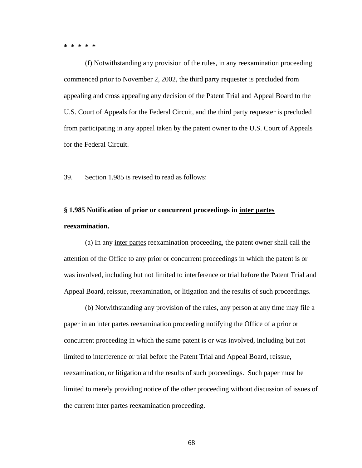**\* \* \* \* \*** 

 (f) Notwithstanding any provision of the rules, in any reexamination proceeding commenced prior to November 2, 2002, the third party requester is precluded from appealing and cross appealing any decision of the Patent Trial and Appeal Board to the U.S. Court of Appeals for the Federal Circuit, and the third party requester is precluded from participating in any appeal taken by the patent owner to the U.S. Court of Appeals for the Federal Circuit.

39. Section 1.985 is revised to read as follows:

## **§ 1.985 Notification of prior or concurrent proceedings in inter partes reexamination.**

(a) In any inter partes reexamination proceeding, the patent owner shall call the attention of the Office to any prior or concurrent proceedings in which the patent is or was involved, including but not limited to interference or trial before the Patent Trial and Appeal Board, reissue, reexamination, or litigation and the results of such proceedings.

(b) Notwithstanding any provision of the rules, any person at any time may file a paper in an inter partes reexamination proceeding notifying the Office of a prior or concurrent proceeding in which the same patent is or was involved, including but not limited to interference or trial before the Patent Trial and Appeal Board, reissue, reexamination, or litigation and the results of such proceedings. Such paper must be limited to merely providing notice of the other proceeding without discussion of issues of the current inter partes reexamination proceeding.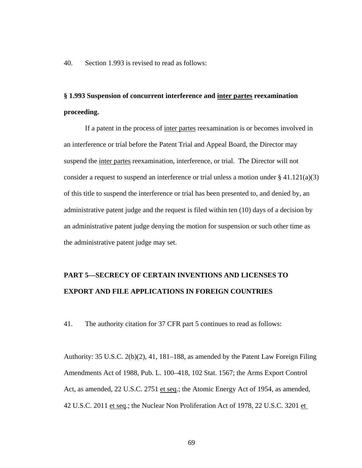40. Section 1.993 is revised to read as follows:

## **§ 1.993 Suspension of concurrent interference and inter partes reexamination proceeding.**

If a patent in the process of inter partes reexamination is or becomes involved in an interference or trial before the Patent Trial and Appeal Board, the Director may suspend the inter partes reexamination, interference, or trial. The Director will not consider a request to suspend an interference or trial unless a motion under  $\S 41.121(a)(3)$ of this title to suspend the interference or trial has been presented to, and denied by, an administrative patent judge and the request is filed within ten (10) days of a decision by an administrative patent judge denying the motion for suspension or such other time as the administrative patent judge may set.

## **PART 5—SECRECY OF CERTAIN INVENTIONS AND LICENSES TO EXPORT AND FILE APPLICATIONS IN FOREIGN COUNTRIES**

41. The authority citation for 37 CFR part 5 continues to read as follows:

Authority: 35 U.S.C. 2(b)(2), 41, 181–188, as amended by the Patent Law Foreign Filing Amendments Act of 1988, Pub. L. 100–418, 102 Stat. 1567; the Arms Export Control Act, as amended, 22 U.S.C. 2751 et seq.; the Atomic Energy Act of 1954, as amended, 42 U.S.C. 2011 et seq.; the Nuclear Non Proliferation Act of 1978, 22 U.S.C. 3201 et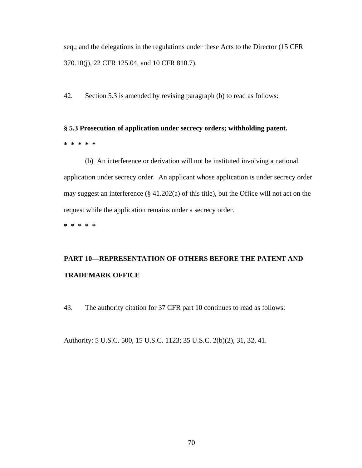seq.; and the delegations in the regulations under these Acts to the Director (15 CFR 370.10(j), 22 CFR 125.04, and 10 CFR 810.7).

42. Section 5.3 is amended by revising paragraph (b) to read as follows:

## **§ 5.3 Prosecution of application under secrecy orders; withholding patent. \* \* \* \* \***

(b) An interference or derivation will not be instituted involving a national application under secrecy order. An applicant whose application is under secrecy order may suggest an interference (§ 41.202(a) of this title), but the Office will not act on the request while the application remains under a secrecy order.

**\* \* \* \* \*** 

# **PART 10—REPRESENTATION OF OTHERS BEFORE THE PATENT AND TRADEMARK OFFICE**

43. The authority citation for 37 CFR part 10 continues to read as follows:

Authority: 5 U.S.C. 500, 15 U.S.C. 1123; 35 U.S.C. 2(b)(2), 31, 32, 41.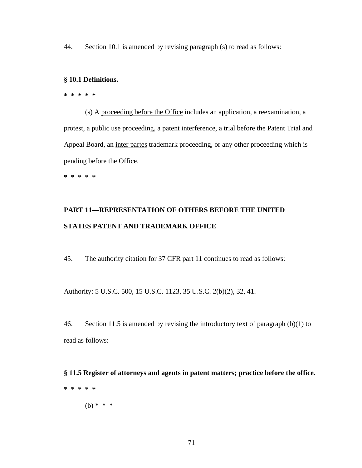44. Section 10.1 is amended by revising paragraph (s) to read as follows:

## **§ 10.1 Definitions.**

## **\* \* \* \* \***

 (s) A proceeding before the Office includes an application, a reexamination, a protest, a public use proceeding, a patent interference, a trial before the Patent Trial and Appeal Board, an inter partes trademark proceeding, or any other proceeding which is pending before the Office.

**\* \* \* \* \*** 

## **PART 11—REPRESENTATION OF OTHERS BEFORE THE UNITED STATES PATENT AND TRADEMARK OFFICE**

45. The authority citation for 37 CFR part 11 continues to read as follows:

Authority: 5 U.S.C. 500, 15 U.S.C. 1123, 35 U.S.C. 2(b)(2), 32, 41.

46. Section 11.5 is amended by revising the introductory text of paragraph (b)(1) to read as follows:

**§ 11.5 Register of attorneys and agents in patent matters; practice before the office. \* \* \* \* \*** 

(b) **\* \* \***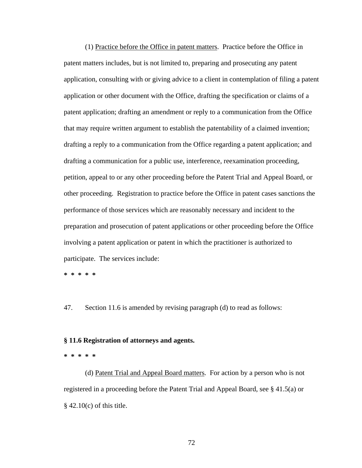(1) Practice before the Office in patent matters. Practice before the Office in patent matters includes, but is not limited to, preparing and prosecuting any patent application, consulting with or giving advice to a client in contemplation of filing a patent application or other document with the Office, drafting the specification or claims of a patent application; drafting an amendment or reply to a communication from the Office that may require written argument to establish the patentability of a claimed invention; drafting a reply to a communication from the Office regarding a patent application; and drafting a communication for a public use, interference, reexamination proceeding, petition, appeal to or any other proceeding before the Patent Trial and Appeal Board, or other proceeding. Registration to practice before the Office in patent cases sanctions the performance of those services which are reasonably necessary and incident to the preparation and prosecution of patent applications or other proceeding before the Office involving a patent application or patent in which the practitioner is authorized to participate. The services include:

**\* \* \* \* \*** 

47. Section 11.6 is amended by revising paragraph (d) to read as follows:

#### **§ 11.6 Registration of attorneys and agents.**

#### **\* \* \* \* \***

(d) Patent Trial and Appeal Board matters. For action by a person who is not registered in a proceeding before the Patent Trial and Appeal Board, see § 41.5(a) or  $§$  42.10(c) of this title.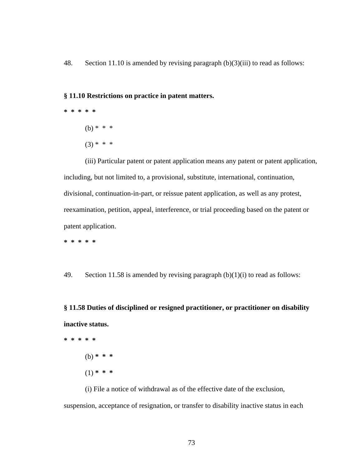48. Section 11.10 is amended by revising paragraph (b)(3)(iii) to read as follows:

### **§ 11.10 Restrictions on practice in patent matters.**

**\* \* \* \* \***  (b)  $* * * *$  $(3) * * * *$ 

(iii) Particular patent or patent application means any patent or patent application, including, but not limited to, a provisional, substitute, international, continuation, divisional, continuation-in-part, or reissue patent application, as well as any protest, reexamination, petition, appeal, interference, or trial proceeding based on the patent or patent application.

**\* \* \* \* \*** 

49. Section 11.58 is amended by revising paragraph  $(b)(1)(i)$  to read as follows:

**§ 11.58 Duties of disciplined or resigned practitioner, or practitioner on disability inactive status.** 

**\* \* \* \* \***  (b) **\* \* \***  (1) **\* \* \*** 

(i) File a notice of withdrawal as of the effective date of the exclusion, suspension, acceptance of resignation, or transfer to disability inactive status in each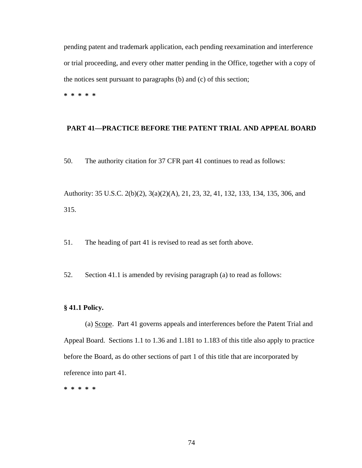pending patent and trademark application, each pending reexamination and interference or trial proceeding, and every other matter pending in the Office, together with a copy of the notices sent pursuant to paragraphs (b) and (c) of this section;

**\* \* \* \* \*** 

# **PART 41—PRACTICE BEFORE THE PATENT TRIAL AND APPEAL BOARD**

50. The authority citation for 37 CFR part 41 continues to read as follows:

Authority: 35 U.S.C. 2(b)(2), 3(a)(2)(A), 21, 23, 32, 41, 132, 133, 134, 135, 306, and 315.

51. The heading of part 41 is revised to read as set forth above.

52. Section 41.1 is amended by revising paragraph (a) to read as follows:

### **§ 41.1 Policy.**

(a) Scope. Part 41 governs appeals and interferences before the Patent Trial and Appeal Board. Sections 1.1 to 1.36 and 1.181 to 1.183 of this title also apply to practice before the Board, as do other sections of part 1 of this title that are incorporated by reference into part 41.

**\* \* \* \* \***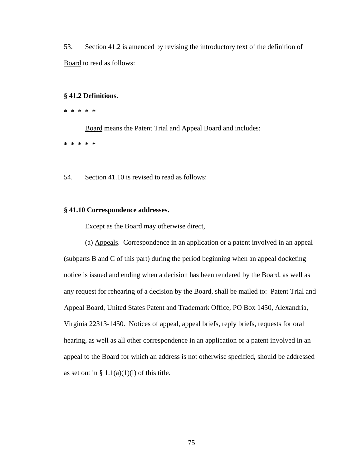53. Section 41.2 is amended by revising the introductory text of the definition of Board to read as follows:

# **§ 41.2 Definitions.**

**\* \* \* \* \*** 

Board means the Patent Trial and Appeal Board and includes:

**\* \* \* \* \*** 

54. Section 41.10 is revised to read as follows:

## **§ 41.10 Correspondence addresses.**

Except as the Board may otherwise direct,

(a) Appeals. Correspondence in an application or a patent involved in an appeal (subparts B and C of this part) during the period beginning when an appeal docketing notice is issued and ending when a decision has been rendered by the Board, as well as any request for rehearing of a decision by the Board, shall be mailed to: Patent Trial and Appeal Board, United States Patent and Trademark Office, PO Box 1450, Alexandria, Virginia 22313-1450. Notices of appeal, appeal briefs, reply briefs, requests for oral hearing, as well as all other correspondence in an application or a patent involved in an appeal to the Board for which an address is not otherwise specified, should be addressed as set out in  $\S 1.1(a)(1)(i)$  of this title.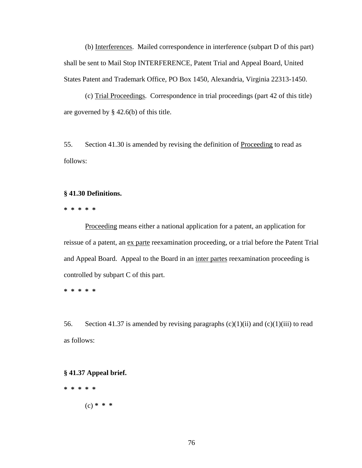(b) Interferences. Mailed correspondence in interference (subpart D of this part) shall be sent to Mail Stop INTERFERENCE, Patent Trial and Appeal Board, United States Patent and Trademark Office, PO Box 1450, Alexandria, Virginia 22313-1450.

(c) Trial Proceedings. Correspondence in trial proceedings (part 42 of this title) are governed by § 42.6(b) of this title.

55. Section 41.30 is amended by revising the definition of Proceeding to read as follows:

# **§ 41.30 Definitions.**

**\* \* \* \* \*** 

Proceeding means either a national application for a patent, an application for reissue of a patent, an ex parte reexamination proceeding, or a trial before the Patent Trial and Appeal Board. Appeal to the Board in an inter partes reexamination proceeding is controlled by subpart C of this part.

**\* \* \* \* \*** 

56. Section 41.37 is amended by revising paragraphs  $(c)(1)(ii)$  and  $(c)(1)(iii)$  to read as follows:

**§ 41.37 Appeal brief.** 

**\* \* \* \* \*** 

(c) **\* \* \***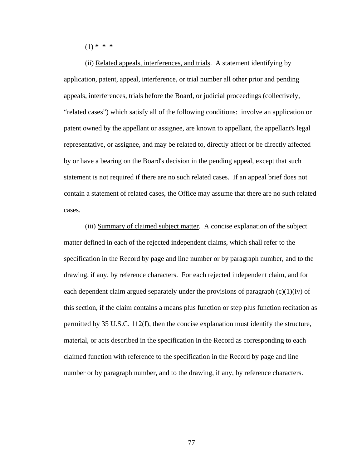(1) **\* \* \***

(ii) Related appeals, interferences, and trials. A statement identifying by application, patent, appeal, interference, or trial number all other prior and pending appeals, interferences, trials before the Board, or judicial proceedings (collectively, "related cases") which satisfy all of the following conditions: involve an application or patent owned by the appellant or assignee, are known to appellant, the appellant's legal representative, or assignee, and may be related to, directly affect or be directly affected by or have a bearing on the Board's decision in the pending appeal, except that such statement is not required if there are no such related cases. If an appeal brief does not contain a statement of related cases, the Office may assume that there are no such related cases.

(iii) Summary of claimed subject matter. A concise explanation of the subject matter defined in each of the rejected independent claims, which shall refer to the specification in the Record by page and line number or by paragraph number, and to the drawing, if any, by reference characters. For each rejected independent claim, and for each dependent claim argued separately under the provisions of paragraph  $(c)(1)(iv)$  of this section, if the claim contains a means plus function or step plus function recitation as permitted by 35 U.S.C. 112(f), then the concise explanation must identify the structure, material, or acts described in the specification in the Record as corresponding to each claimed function with reference to the specification in the Record by page and line number or by paragraph number, and to the drawing, if any, by reference characters.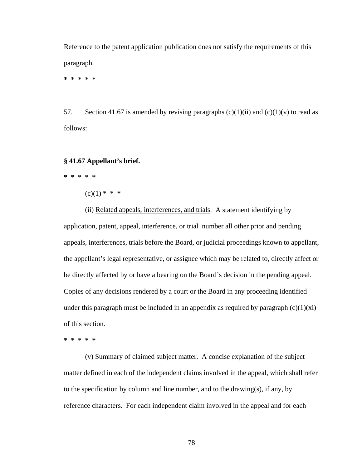Reference to the patent application publication does not satisfy the requirements of this paragraph.

**\* \* \* \* \*** 

57. Section 41.67 is amended by revising paragraphs  $(c)(1)(ii)$  and  $(c)(1)(v)$  to read as follows:

# **§ 41.67 Appellant's brief.**

**\* \* \* \* \*** 

 $(c)(1)$  \* \* \*

(ii) Related appeals, interferences, and trials. A statement identifying by application, patent, appeal, interference, or trial number all other prior and pending appeals, interferences, trials before the Board, or judicial proceedings known to appellant, the appellant's legal representative, or assignee which may be related to, directly affect or be directly affected by or have a bearing on the Board's decision in the pending appeal. Copies of any decisions rendered by a court or the Board in any proceeding identified under this paragraph must be included in an appendix as required by paragraph  $(c)(1)(xi)$ of this section.

**\* \* \* \* \*** 

 (v) Summary of claimed subject matter. A concise explanation of the subject matter defined in each of the independent claims involved in the appeal, which shall refer to the specification by column and line number, and to the drawing(s), if any, by reference characters. For each independent claim involved in the appeal and for each

78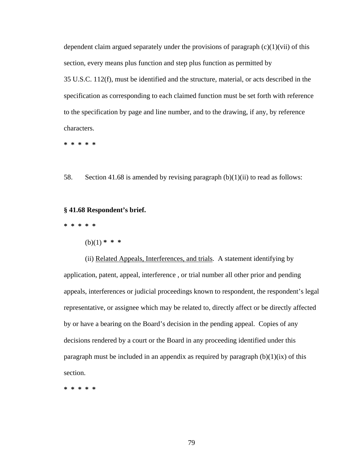dependent claim argued separately under the provisions of paragraph  $(c)(1)(\n{\rm vii})$  of this section, every means plus function and step plus function as permitted by 35 U.S.C. 112(f), must be identified and the structure, material, or acts described in the specification as corresponding to each claimed function must be set forth with reference to the specification by page and line number, and to the drawing, if any, by reference characters.

**\* \* \* \* \*** 

58. Section 41.68 is amended by revising paragraph  $(b)(1)(ii)$  to read as follows:

#### **§ 41.68 Respondent's brief.**

**\* \* \* \* \*** 

(b)(1) **\* \* \***

(ii) Related Appeals, Interferences, and trials. A statement identifying by application, patent, appeal, interference , or trial number all other prior and pending appeals, interferences or judicial proceedings known to respondent, the respondent's legal representative, or assignee which may be related to, directly affect or be directly affected by or have a bearing on the Board's decision in the pending appeal. Copies of any decisions rendered by a court or the Board in any proceeding identified under this paragraph must be included in an appendix as required by paragraph  $(b)(1)(ix)$  of this section.

**\* \* \* \* \***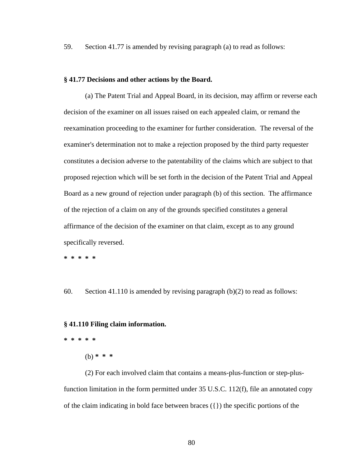59. Section 41.77 is amended by revising paragraph (a) to read as follows:

# **§ 41.77 Decisions and other actions by the Board.**

(a) The Patent Trial and Appeal Board, in its decision, may affirm or reverse each decision of the examiner on all issues raised on each appealed claim, or remand the reexamination proceeding to the examiner for further consideration. The reversal of the examiner's determination not to make a rejection proposed by the third party requester constitutes a decision adverse to the patentability of the claims which are subject to that proposed rejection which will be set forth in the decision of the Patent Trial and Appeal Board as a new ground of rejection under paragraph (b) of this section. The affirmance of the rejection of a claim on any of the grounds specified constitutes a general affirmance of the decision of the examiner on that claim, except as to any ground specifically reversed.

**\* \* \* \* \*** 

60. Section 41.110 is amended by revising paragraph (b)(2) to read as follows:

#### **§ 41.110 Filing claim information.**

**\* \* \* \* \*** 

(b) **\* \* \***

(2) For each involved claim that contains a means-plus-function or step-plusfunction limitation in the form permitted under 35 U.S.C. 112(f), file an annotated copy of the claim indicating in bold face between braces  $({})$  the specific portions of the